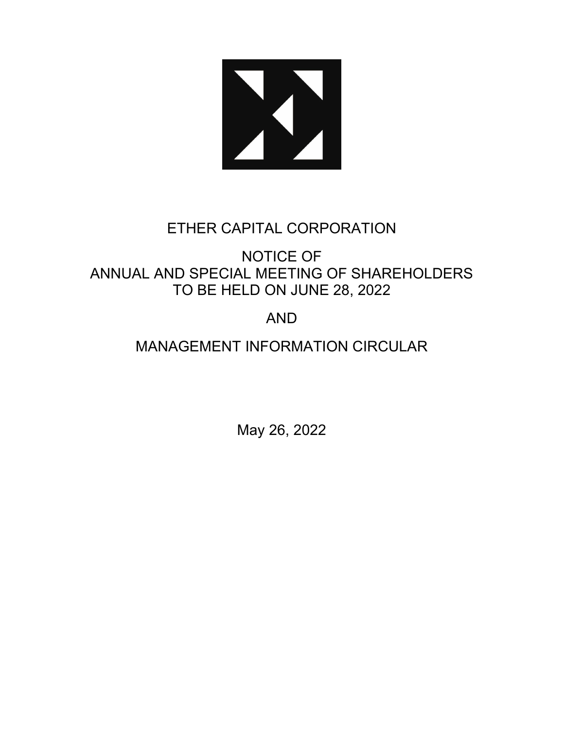

# ETHER CAPITAL CORPORATION

NOTICE OF ANNUAL AND SPECIAL MEETING OF SHAREHOLDERS TO BE HELD ON JUNE 28, 2022

# AND

# MANAGEMENT INFORMATION CIRCULAR

May 26, 2022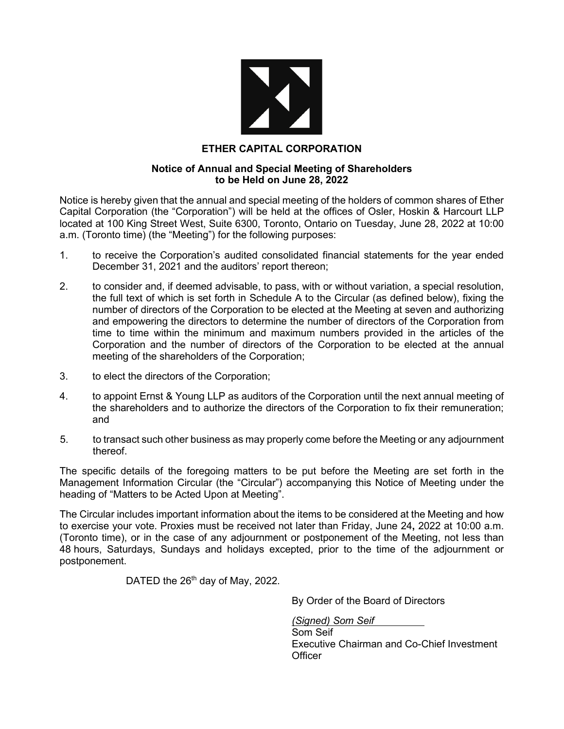

# **ETHER CAPITAL CORPORATION**

#### **Notice of Annual and Special Meeting of Shareholders to be Held on June 28, 2022**

Notice is hereby given that the annual and special meeting of the holders of common shares of Ether Capital Corporation (the "Corporation") will be held at the offices of Osler, Hoskin & Harcourt LLP located at 100 King Street West, Suite 6300, Toronto, Ontario on Tuesday, June 28, 2022 at 10:00 a.m. (Toronto time) (the "Meeting") for the following purposes:

- 1. to receive the Corporation's audited consolidated financial statements for the year ended December 31, 2021 and the auditors' report thereon;
- 2. to consider and, if deemed advisable, to pass, with or without variation, a special resolution, the full text of which is set forth in Schedule A to the Circular (as defined below), fixing the number of directors of the Corporation to be elected at the Meeting at seven and authorizing and empowering the directors to determine the number of directors of the Corporation from time to time within the minimum and maximum numbers provided in the articles of the Corporation and the number of directors of the Corporation to be elected at the annual meeting of the shareholders of the Corporation;
- 3. to elect the directors of the Corporation;
- 4. to appoint Ernst & Young LLP as auditors of the Corporation until the next annual meeting of the shareholders and to authorize the directors of the Corporation to fix their remuneration; and
- 5. to transact such other business as may properly come before the Meeting or any adjournment thereof.

The specific details of the foregoing matters to be put before the Meeting are set forth in the Management Information Circular (the "Circular") accompanying this Notice of Meeting under the heading of "Matters to be Acted Upon at Meeting".

The Circular includes important information about the items to be considered at the Meeting and how to exercise your vote. Proxies must be received not later than Friday, June 24**,** 2022 at 10:00 a.m. (Toronto time), or in the case of any adjournment or postponement of the Meeting, not less than 48 hours, Saturdays, Sundays and holidays excepted, prior to the time of the adjournment or postponement.

DATED the 26<sup>th</sup> day of May, 2022.

By Order of the Board of Directors

*(Signed) Som Seif* Som Seif

Executive Chairman and Co-Chief Investment **Officer**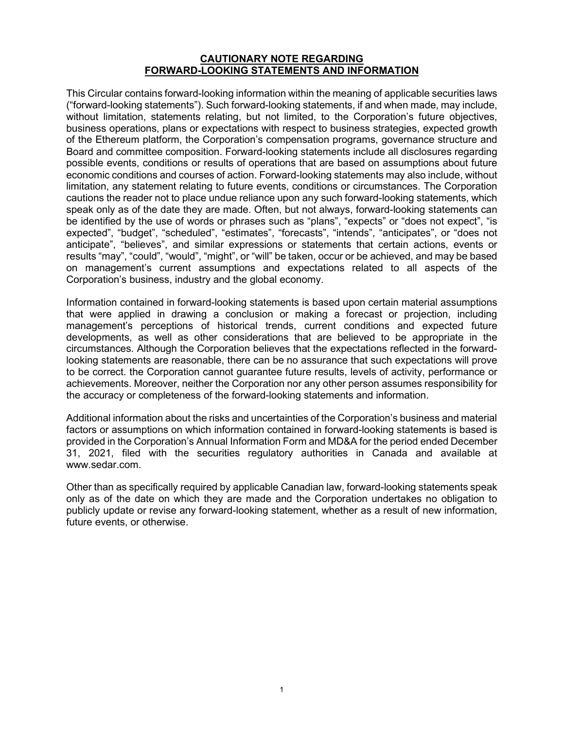#### **CAUTIONARY NOTE REGARDING FORWARD-LOOKING STATEMENTS AND INFORMATION**

This Circular contains forward-looking information within the meaning of applicable securities laws ("forward-looking statements"). Such forward-looking statements, if and when made, may include, without limitation, statements relating, but not limited, to the Corporation's future objectives, business operations, plans or expectations with respect to business strategies, expected growth of the Ethereum platform, the Corporation's compensation programs, governance structure and Board and committee composition. Forward-looking statements include all disclosures regarding possible events, conditions or results of operations that are based on assumptions about future economic conditions and courses of action. Forward-looking statements may also include, without limitation, any statement relating to future events, conditions or circumstances. The Corporation cautions the reader not to place undue reliance upon any such forward-looking statements, which speak only as of the date they are made. Often, but not always, forward-looking statements can be identified by the use of words or phrases such as "plans", "expects" or "does not expect", "is expected", "budget", "scheduled", "estimates", "forecasts", "intends", "anticipates", or "does not anticipate", "believes", and similar expressions or statements that certain actions, events or results "may", "could", "would", "might", or "will" be taken, occur or be achieved, and may be based on management's current assumptions and expectations related to all aspects of the Corporation's business, industry and the global economy.

Information contained in forward-looking statements is based upon certain material assumptions that were applied in drawing a conclusion or making a forecast or projection, including management's perceptions of historical trends, current conditions and expected future developments, as well as other considerations that are believed to be appropriate in the circumstances. Although the Corporation believes that the expectations reflected in the forwardlooking statements are reasonable, there can be no assurance that such expectations will prove to be correct. the Corporation cannot guarantee future results, levels of activity, performance or achievements. Moreover, neither the Corporation nor any other person assumes responsibility for the accuracy or completeness of the forward-looking statements and information.

Additional information about the risks and uncertainties of the Corporation's business and material factors or assumptions on which information contained in forward-looking statements is based is provided in the Corporation's Annual Information Form and MD&A for the period ended December 31, 2021, filed with the securities regulatory authorities in Canada and available at www.sedar.com.

Other than as specifically required by applicable Canadian law, forward-looking statements speak only as of the date on which they are made and the Corporation undertakes no obligation to publicly update or revise any forward-looking statement, whether as a result of new information, future events, or otherwise.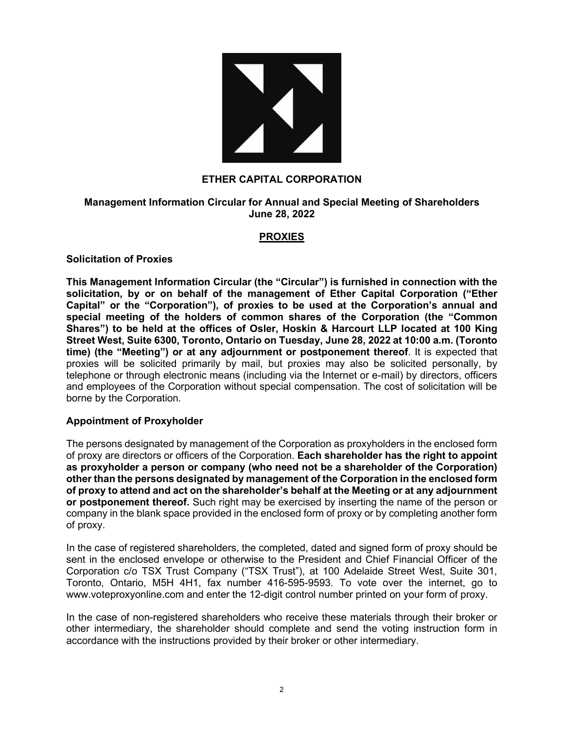

## **ETHER CAPITAL CORPORATION**

## **Management Information Circular for Annual and Special Meeting of Shareholders June 28, 2022**

# **PROXIES**

#### **Solicitation of Proxies**

**This Management Information Circular (the "Circular") is furnished in connection with the solicitation, by or on behalf of the management of Ether Capital Corporation ("Ether Capital" or the "Corporation"), of proxies to be used at the Corporation's annual and special meeting of the holders of common shares of the Corporation (the "Common Shares") to be held at the offices of Osler, Hoskin & Harcourt LLP located at 100 King Street West, Suite 6300, Toronto, Ontario on Tuesday, June 28, 2022 at 10:00 a.m. (Toronto time) (the "Meeting") or at any adjournment or postponement thereof**. It is expected that proxies will be solicited primarily by mail, but proxies may also be solicited personally, by telephone or through electronic means (including via the Internet or e-mail) by directors, officers and employees of the Corporation without special compensation. The cost of solicitation will be borne by the Corporation.

# **Appointment of Proxyholder**

The persons designated by management of the Corporation as proxyholders in the enclosed form of proxy are directors or officers of the Corporation. **Each shareholder has the right to appoint as proxyholder a person or company (who need not be a shareholder of the Corporation) other than the persons designated by management of the Corporation in the enclosed form of proxy to attend and act on the shareholder's behalf at the Meeting or at any adjournment or postponement thereof.** Such right may be exercised by inserting the name of the person or company in the blank space provided in the enclosed form of proxy or by completing another form of proxy.

In the case of registered shareholders, the completed, dated and signed form of proxy should be sent in the enclosed envelope or otherwise to the President and Chief Financial Officer of the Corporation c/o TSX Trust Company ("TSX Trust"), at 100 Adelaide Street West, Suite 301, Toronto, Ontario, M5H 4H1, fax number 416-595-9593. To vote over the internet, go to www.voteproxyonline.com and enter the 12-digit control number printed on your form of proxy.

In the case of non-registered shareholders who receive these materials through their broker or other intermediary, the shareholder should complete and send the voting instruction form in accordance with the instructions provided by their broker or other intermediary.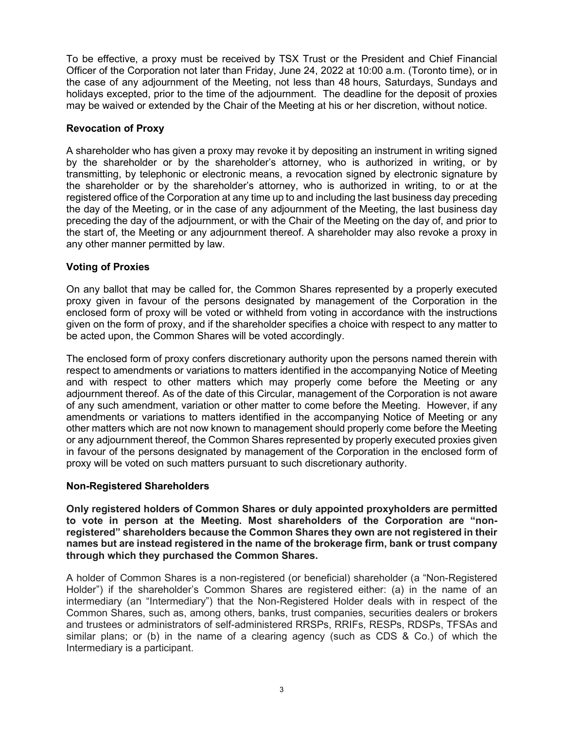To be effective, a proxy must be received by TSX Trust or the President and Chief Financial Officer of the Corporation not later than Friday, June 24, 2022 at 10:00 a.m. (Toronto time), or in the case of any adjournment of the Meeting, not less than 48 hours, Saturdays, Sundays and holidays excepted, prior to the time of the adjournment. The deadline for the deposit of proxies may be waived or extended by the Chair of the Meeting at his or her discretion, without notice.

# **Revocation of Proxy**

A shareholder who has given a proxy may revoke it by depositing an instrument in writing signed by the shareholder or by the shareholder's attorney, who is authorized in writing, or by transmitting, by telephonic or electronic means, a revocation signed by electronic signature by the shareholder or by the shareholder's attorney, who is authorized in writing, to or at the registered office of the Corporation at any time up to and including the last business day preceding the day of the Meeting, or in the case of any adjournment of the Meeting, the last business day preceding the day of the adjournment, or with the Chair of the Meeting on the day of, and prior to the start of, the Meeting or any adjournment thereof. A shareholder may also revoke a proxy in any other manner permitted by law.

## **Voting of Proxies**

On any ballot that may be called for, the Common Shares represented by a properly executed proxy given in favour of the persons designated by management of the Corporation in the enclosed form of proxy will be voted or withheld from voting in accordance with the instructions given on the form of proxy, and if the shareholder specifies a choice with respect to any matter to be acted upon, the Common Shares will be voted accordingly.

The enclosed form of proxy confers discretionary authority upon the persons named therein with respect to amendments or variations to matters identified in the accompanying Notice of Meeting and with respect to other matters which may properly come before the Meeting or any adjournment thereof. As of the date of this Circular, management of the Corporation is not aware of any such amendment, variation or other matter to come before the Meeting. However, if any amendments or variations to matters identified in the accompanying Notice of Meeting or any other matters which are not now known to management should properly come before the Meeting or any adjournment thereof, the Common Shares represented by properly executed proxies given in favour of the persons designated by management of the Corporation in the enclosed form of proxy will be voted on such matters pursuant to such discretionary authority.

# **Non-Registered Shareholders**

**Only registered holders of Common Shares or duly appointed proxyholders are permitted to vote in person at the Meeting. Most shareholders of the Corporation are "nonregistered" shareholders because the Common Shares they own are not registered in their names but are instead registered in the name of the brokerage firm, bank or trust company through which they purchased the Common Shares.**

A holder of Common Shares is a non-registered (or beneficial) shareholder (a "Non-Registered Holder") if the shareholder's Common Shares are registered either: (a) in the name of an intermediary (an "Intermediary") that the Non-Registered Holder deals with in respect of the Common Shares, such as, among others, banks, trust companies, securities dealers or brokers and trustees or administrators of self-administered RRSPs, RRIFs, RESPs, RDSPs, TFSAs and similar plans; or (b) in the name of a clearing agency (such as CDS & Co.) of which the Intermediary is a participant.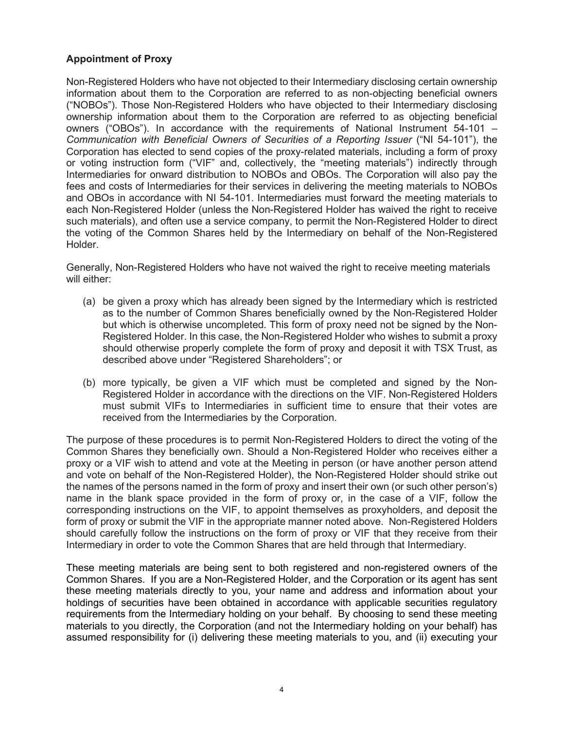# **Appointment of Proxy**

Non-Registered Holders who have not objected to their Intermediary disclosing certain ownership information about them to the Corporation are referred to as non-objecting beneficial owners ("NOBOs"). Those Non-Registered Holders who have objected to their Intermediary disclosing ownership information about them to the Corporation are referred to as objecting beneficial owners ("OBOs"). In accordance with the requirements of National Instrument 54-101 *– Communication with Beneficial Owners of Securities of a Reporting Issuer* ("NI 54-101"), the Corporation has elected to send copies of the proxy-related materials, including a form of proxy or voting instruction form ("VIF" and, collectively, the "meeting materials") indirectly through Intermediaries for onward distribution to NOBOs and OBOs. The Corporation will also pay the fees and costs of Intermediaries for their services in delivering the meeting materials to NOBOs and OBOs in accordance with NI 54-101. Intermediaries must forward the meeting materials to each Non-Registered Holder (unless the Non-Registered Holder has waived the right to receive such materials), and often use a service company, to permit the Non-Registered Holder to direct the voting of the Common Shares held by the Intermediary on behalf of the Non-Registered Holder.

Generally, Non-Registered Holders who have not waived the right to receive meeting materials will either:

- (a) be given a proxy which has already been signed by the Intermediary which is restricted as to the number of Common Shares beneficially owned by the Non-Registered Holder but which is otherwise uncompleted. This form of proxy need not be signed by the Non-Registered Holder. In this case, the Non-Registered Holder who wishes to submit a proxy should otherwise properly complete the form of proxy and deposit it with TSX Trust, as described above under "Registered Shareholders"; or
- (b) more typically, be given a VIF which must be completed and signed by the Non-Registered Holder in accordance with the directions on the VIF. Non-Registered Holders must submit VIFs to Intermediaries in sufficient time to ensure that their votes are received from the Intermediaries by the Corporation.

The purpose of these procedures is to permit Non-Registered Holders to direct the voting of the Common Shares they beneficially own. Should a Non-Registered Holder who receives either a proxy or a VIF wish to attend and vote at the Meeting in person (or have another person attend and vote on behalf of the Non-Registered Holder), the Non-Registered Holder should strike out the names of the persons named in the form of proxy and insert their own (or such other person's) name in the blank space provided in the form of proxy or, in the case of a VIF, follow the corresponding instructions on the VIF, to appoint themselves as proxyholders, and deposit the form of proxy or submit the VIF in the appropriate manner noted above. Non-Registered Holders should carefully follow the instructions on the form of proxy or VIF that they receive from their Intermediary in order to vote the Common Shares that are held through that Intermediary.

These meeting materials are being sent to both registered and non-registered owners of the Common Shares. If you are a Non-Registered Holder, and the Corporation or its agent has sent these meeting materials directly to you, your name and address and information about your holdings of securities have been obtained in accordance with applicable securities regulatory requirements from the Intermediary holding on your behalf. By choosing to send these meeting materials to you directly, the Corporation (and not the Intermediary holding on your behalf) has assumed responsibility for (i) delivering these meeting materials to you, and (ii) executing your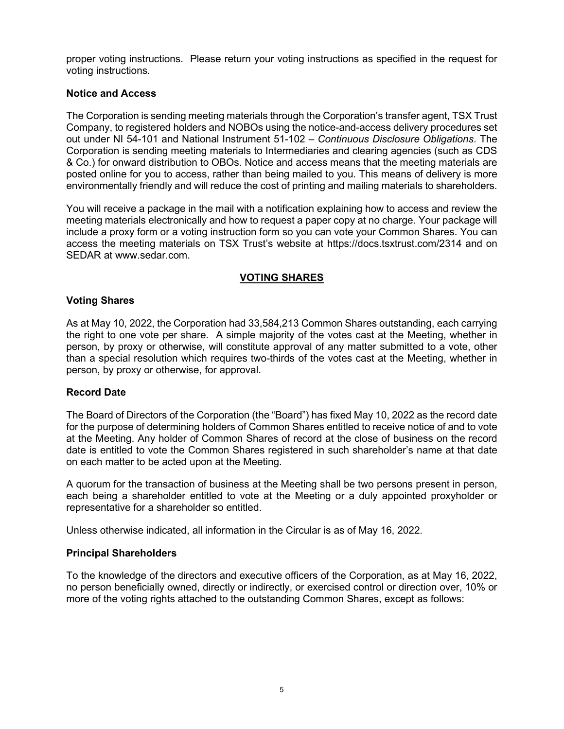proper voting instructions. Please return your voting instructions as specified in the request for voting instructions.

# **Notice and Access**

The Corporation is sending meeting materials through the Corporation's transfer agent, TSX Trust Company, to registered holders and NOBOs using the notice-and-access delivery procedures set out under NI 54-101 and National Instrument 51-102 – *Continuous Disclosure Obligations*. The Corporation is sending meeting materials to Intermediaries and clearing agencies (such as CDS & Co.) for onward distribution to OBOs. Notice and access means that the meeting materials are posted online for you to access, rather than being mailed to you. This means of delivery is more environmentally friendly and will reduce the cost of printing and mailing materials to shareholders.

You will receive a package in the mail with a notification explaining how to access and review the meeting materials electronically and how to request a paper copy at no charge. Your package will include a proxy form or a voting instruction form so you can vote your Common Shares. You can access the meeting materials on TSX Trust's website at https://docs.tsxtrust.com/2314 and on SEDAR at www.sedar.com.

# **VOTING SHARES**

# **Voting Shares**

As at May 10, 2022, the Corporation had 33,584,213 Common Shares outstanding, each carrying the right to one vote per share. A simple majority of the votes cast at the Meeting, whether in person, by proxy or otherwise, will constitute approval of any matter submitted to a vote, other than a special resolution which requires two-thirds of the votes cast at the Meeting, whether in person, by proxy or otherwise, for approval.

# **Record Date**

The Board of Directors of the Corporation (the "Board") has fixed May 10, 2022 as the record date for the purpose of determining holders of Common Shares entitled to receive notice of and to vote at the Meeting. Any holder of Common Shares of record at the close of business on the record date is entitled to vote the Common Shares registered in such shareholder's name at that date on each matter to be acted upon at the Meeting.

A quorum for the transaction of business at the Meeting shall be two persons present in person, each being a shareholder entitled to vote at the Meeting or a duly appointed proxyholder or representative for a shareholder so entitled.

Unless otherwise indicated, all information in the Circular is as of May 16, 2022.

# **Principal Shareholders**

To the knowledge of the directors and executive officers of the Corporation, as at May 16, 2022, no person beneficially owned, directly or indirectly, or exercised control or direction over, 10% or more of the voting rights attached to the outstanding Common Shares, except as follows: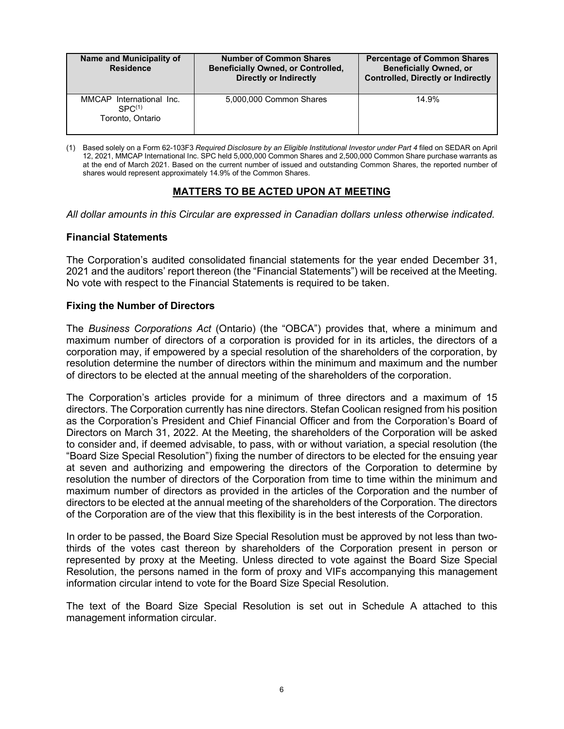| Name and Municipality of<br><b>Residence</b>                       | <b>Number of Common Shares</b><br><b>Beneficially Owned, or Controlled,</b><br><b>Directly or Indirectly</b> | <b>Percentage of Common Shares</b><br><b>Beneficially Owned, or</b><br><b>Controlled, Directly or Indirectly</b> |
|--------------------------------------------------------------------|--------------------------------------------------------------------------------------------------------------|------------------------------------------------------------------------------------------------------------------|
| MMCAP International Inc.<br>SPC <sup>(1)</sup><br>Toronto, Ontario | 5,000,000 Common Shares                                                                                      | 14.9%                                                                                                            |

(1) Based solely on a Form 62-103F3 *Required Disclosure by an Eligible Institutional Investor under Part 4* filed on SEDAR on April 12, 2021, MMCAP International Inc. SPC held 5,000,000 Common Shares and 2,500,000 Common Share purchase warrants as at the end of March 2021. Based on the current number of issued and outstanding Common Shares, the reported number of shares would represent approximately 14.9% of the Common Shares.

# **MATTERS TO BE ACTED UPON AT MEETING**

*All dollar amounts in this Circular are expressed in Canadian dollars unless otherwise indicated.*

## **Financial Statements**

The Corporation's audited consolidated financial statements for the year ended December 31, 2021 and the auditors' report thereon (the "Financial Statements") will be received at the Meeting. No vote with respect to the Financial Statements is required to be taken.

## **Fixing the Number of Directors**

The *Business Corporations Act* (Ontario) (the "OBCA") provides that, where a minimum and maximum number of directors of a corporation is provided for in its articles, the directors of a corporation may, if empowered by a special resolution of the shareholders of the corporation, by resolution determine the number of directors within the minimum and maximum and the number of directors to be elected at the annual meeting of the shareholders of the corporation.

The Corporation's articles provide for a minimum of three directors and a maximum of 15 directors. The Corporation currently has nine directors. Stefan Coolican resigned from his position as the Corporation's President and Chief Financial Officer and from the Corporation's Board of Directors on March 31, 2022. At the Meeting, the shareholders of the Corporation will be asked to consider and, if deemed advisable, to pass, with or without variation, a special resolution (the "Board Size Special Resolution") fixing the number of directors to be elected for the ensuing year at seven and authorizing and empowering the directors of the Corporation to determine by resolution the number of directors of the Corporation from time to time within the minimum and maximum number of directors as provided in the articles of the Corporation and the number of directors to be elected at the annual meeting of the shareholders of the Corporation. The directors of the Corporation are of the view that this flexibility is in the best interests of the Corporation.

In order to be passed, the Board Size Special Resolution must be approved by not less than twothirds of the votes cast thereon by shareholders of the Corporation present in person or represented by proxy at the Meeting. Unless directed to vote against the Board Size Special Resolution, the persons named in the form of proxy and VIFs accompanying this management information circular intend to vote for the Board Size Special Resolution.

The text of the Board Size Special Resolution is set out in Schedule A attached to this management information circular.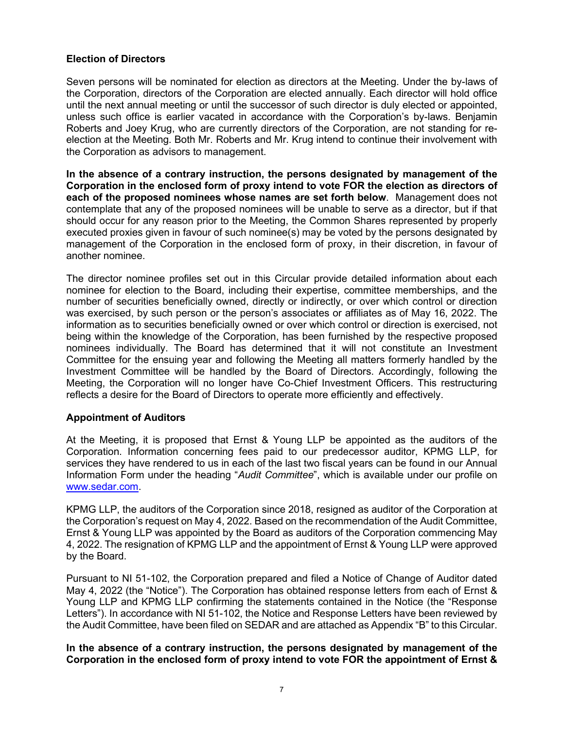# **Election of Directors**

Seven persons will be nominated for election as directors at the Meeting. Under the by-laws of the Corporation, directors of the Corporation are elected annually. Each director will hold office until the next annual meeting or until the successor of such director is duly elected or appointed, unless such office is earlier vacated in accordance with the Corporation's by-laws. Benjamin Roberts and Joey Krug, who are currently directors of the Corporation, are not standing for reelection at the Meeting. Both Mr. Roberts and Mr. Krug intend to continue their involvement with the Corporation as advisors to management.

**In the absence of a contrary instruction, the persons designated by management of the Corporation in the enclosed form of proxy intend to vote FOR the election as directors of each of the proposed nominees whose names are set forth below**. Management does not contemplate that any of the proposed nominees will be unable to serve as a director, but if that should occur for any reason prior to the Meeting, the Common Shares represented by properly executed proxies given in favour of such nominee(s) may be voted by the persons designated by management of the Corporation in the enclosed form of proxy, in their discretion, in favour of another nominee.

The director nominee profiles set out in this Circular provide detailed information about each nominee for election to the Board, including their expertise, committee memberships, and the number of securities beneficially owned, directly or indirectly, or over which control or direction was exercised, by such person or the person's associates or affiliates as of May 16, 2022. The information as to securities beneficially owned or over which control or direction is exercised, not being within the knowledge of the Corporation, has been furnished by the respective proposed nominees individually. The Board has determined that it will not constitute an Investment Committee for the ensuing year and following the Meeting all matters formerly handled by the Investment Committee will be handled by the Board of Directors. Accordingly, following the Meeting, the Corporation will no longer have Co-Chief Investment Officers. This restructuring reflects a desire for the Board of Directors to operate more efficiently and effectively.

# **Appointment of Auditors**

At the Meeting, it is proposed that Ernst & Young LLP be appointed as the auditors of the Corporation. Information concerning fees paid to our predecessor auditor, KPMG LLP, for services they have rendered to us in each of the last two fiscal years can be found in our Annual Information Form under the heading "*Audit Committee*", which is available under our profile on [www.sedar.com.](http://www.sedar.com/)

KPMG LLP, the auditors of the Corporation since 2018, resigned as auditor of the Corporation at the Corporation's request on May 4, 2022. Based on the recommendation of the Audit Committee, Ernst & Young LLP was appointed by the Board as auditors of the Corporation commencing May 4, 2022. The resignation of KPMG LLP and the appointment of Ernst & Young LLP were approved by the Board.

Pursuant to NI 51-102, the Corporation prepared and filed a Notice of Change of Auditor dated May 4, 2022 (the "Notice"). The Corporation has obtained response letters from each of Ernst & Young LLP and KPMG LLP confirming the statements contained in the Notice (the "Response Letters"). In accordance with NI 51-102, the Notice and Response Letters have been reviewed by the Audit Committee, have been filed on SEDAR and are attached as Appendix "B" to this Circular.

**In the absence of a contrary instruction, the persons designated by management of the Corporation in the enclosed form of proxy intend to vote FOR the appointment of Ernst &**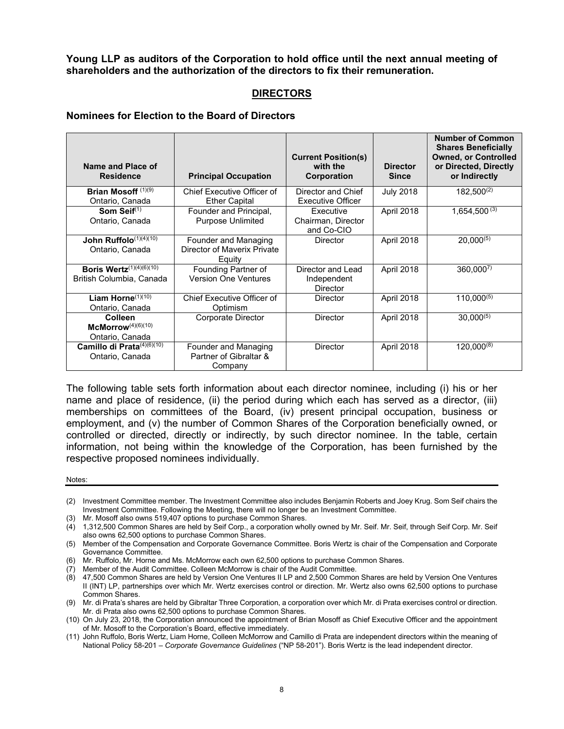**Young LLP as auditors of the Corporation to hold office until the next annual meeting of shareholders and the authorization of the directors to fix their remuneration.**

# **DIRECTORS**

#### **Nominees for Election to the Board of Directors**

| Name and Place of<br><b>Residence</b>                               | <b>Principal Occupation</b>                                   | <b>Current Position(s)</b><br>with the<br>Corporation | <b>Director</b><br><b>Since</b> | <b>Number of Common</b><br><b>Shares Beneficially</b><br><b>Owned, or Controlled</b><br>or Directed, Directly<br>or Indirectly |
|---------------------------------------------------------------------|---------------------------------------------------------------|-------------------------------------------------------|---------------------------------|--------------------------------------------------------------------------------------------------------------------------------|
| Brian Mosoff $(1)(9)$<br>Ontario, Canada                            | Chief Executive Officer of<br><b>Ether Capital</b>            | Director and Chief<br><b>Executive Officer</b>        | <b>July 2018</b>                | $182.500^{(2)}$                                                                                                                |
| Som Seif $(1)$<br>Ontario, Canada                                   | Founder and Principal,<br><b>Purpose Unlimited</b>            | Executive<br>Chairman, Director<br>and Co-CIO         | April 2018                      | $1,654,500^{(3)}$                                                                                                              |
| John Ruffolo <sup>(1)(4)(10)</sup><br>Ontario, Canada               | Founder and Managing<br>Director of Maverix Private<br>Equity | <b>Director</b>                                       | April 2018                      | $20,000^{(5)}$                                                                                                                 |
| <b>Boris Wertz</b> $(1)(4)(6)(10)$<br>British Columbia, Canada      | Founding Partner of<br><b>Version One Ventures</b>            | Director and Lead<br>Independent<br><b>Director</b>   | April 2018                      | $360,000^{7}$                                                                                                                  |
| Liam Horne $(1)(10)$<br>Ontario, Canada                             | Chief Executive Officer of<br>Optimism                        | <b>Director</b>                                       | April 2018                      | $110,000^{(5)}$                                                                                                                |
| <b>Colleen</b><br>McMorrow <sup>(4)(6)(10)</sup><br>Ontario, Canada | Corporate Director                                            | <b>Director</b>                                       | April 2018                      | $30,000^{(5)}$                                                                                                                 |
| Camillo di Prata(4)(6)(10)<br>Ontario, Canada                       | Founder and Managing<br>Partner of Gibraltar &<br>Company     | <b>Director</b>                                       | April 2018                      | $120,000^{(8)}$                                                                                                                |

The following table sets forth information about each director nominee, including (i) his or her name and place of residence, (ii) the period during which each has served as a director, (iii) memberships on committees of the Board, (iv) present principal occupation, business or employment, and (v) the number of Common Shares of the Corporation beneficially owned, or controlled or directed, directly or indirectly, by such director nominee. In the table, certain information, not being within the knowledge of the Corporation, has been furnished by the respective proposed nominees individually.

Notes:

- (6) Mr. Ruffolo, Mr. Horne and Ms. McMorrow each own 62,500 options to purchase Common Shares.
- (7) Member of the Audit Committee. Colleen McMorrow is chair of the Audit Committee.
- (8) 47,500 Common Shares are held by Version One Ventures II LP and 2,500 Common Shares are held by Version One Ventures II (INT) LP, partnerships over which Mr. Wertz exercises control or direction. Mr. Wertz also owns 62,500 options to purchase Common Shares.

<sup>(2)</sup> Investment Committee member. The Investment Committee also includes Benjamin Roberts and Joey Krug. Som Seif chairs the Investment Committee. Following the Meeting, there will no longer be an Investment Committee.

<sup>(3)</sup> Mr. Mosoff also owns 519,407 options to purchase Common Shares.

<sup>(4)</sup> 1,312,500 Common Shares are held by Seif Corp., a corporation wholly owned by Mr. Seif. Mr. Seif, through Seif Corp. Mr. Seif also owns 62,500 options to purchase Common Shares.

<sup>(5)</sup> Member of the Compensation and Corporate Governance Committee. Boris Wertz is chair of the Compensation and Corporate Governance Committee.

<sup>(9)</sup> Mr. di Prata's shares are held by Gibraltar Three Corporation, a corporation over which Mr. di Prata exercises control or direction. Mr. di Prata also owns 62,500 options to purchase Common Shares.

<sup>(10)</sup> On July 23, 2018, the Corporation announced the appointment of Brian Mosoff as Chief Executive Officer and the appointment of Mr. Mosoff to the Corporation's Board, effective immediately.

<sup>(11)</sup> John Ruffolo, Boris Wertz, Liam Horne, Colleen McMorrow and Camillo di Prata are independent directors within the meaning of National Policy 58-201 – *Corporate Governance Guidelines* ("NP 58-201"). Boris Wertz is the lead independent director.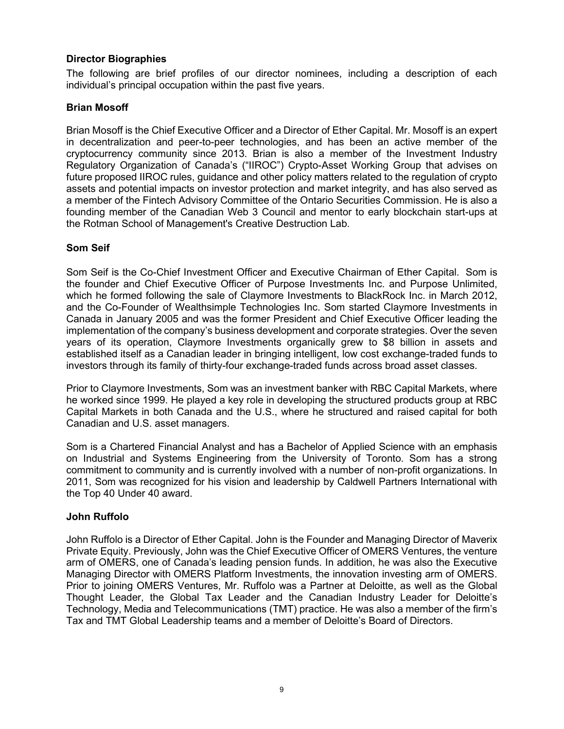# **Director Biographies**

The following are brief profiles of our director nominees, including a description of each individual's principal occupation within the past five years.

# **Brian Mosoff**

Brian Mosoff is the Chief Executive Officer and a Director of Ether Capital. Mr. Mosoff is an expert in decentralization and peer-to-peer technologies, and has been an active member of the cryptocurrency community since 2013. Brian is also a member of the Investment Industry Regulatory Organization of Canada's ("IIROC") Crypto-Asset Working Group that advises on future proposed IIROC rules, guidance and other policy matters related to the regulation of crypto assets and potential impacts on investor protection and market integrity, and has also served as a member of the Fintech Advisory Committee of the Ontario Securities Commission. He is also a founding member of the Canadian Web 3 Council and mentor to early blockchain start-ups at the Rotman School of Management's Creative Destruction Lab.

## **Som Seif**

Som Seif is the Co-Chief Investment Officer and Executive Chairman of Ether Capital. Som is the founder and Chief Executive Officer of Purpose Investments Inc. and Purpose Unlimited, which he formed following the sale of Claymore Investments to BlackRock Inc. in March 2012, and the Co-Founder of Wealthsimple Technologies Inc. Som started Claymore Investments in Canada in January 2005 and was the former President and Chief Executive Officer leading the implementation of the company's business development and corporate strategies. Over the seven years of its operation, Claymore Investments organically grew to \$8 billion in assets and established itself as a Canadian leader in bringing intelligent, low cost exchange-traded funds to investors through its family of thirty-four exchange-traded funds across broad asset classes.

Prior to Claymore Investments, Som was an investment banker with RBC Capital Markets, where he worked since 1999. He played a key role in developing the structured products group at RBC Capital Markets in both Canada and the U.S., where he structured and raised capital for both Canadian and U.S. asset managers.

Som is a Chartered Financial Analyst and has a Bachelor of Applied Science with an emphasis on Industrial and Systems Engineering from the University of Toronto. Som has a strong commitment to community and is currently involved with a number of non-profit organizations. In 2011, Som was recognized for his vision and leadership by Caldwell Partners International with the Top 40 Under 40 award.

#### **John Ruffolo**

John Ruffolo is a Director of Ether Capital. John is the Founder and Managing Director of Maverix Private Equity. Previously, John was the Chief Executive Officer of OMERS Ventures, the venture arm of OMERS, one of Canada's leading pension funds. In addition, he was also the Executive Managing Director with OMERS Platform Investments, the innovation investing arm of OMERS. Prior to joining OMERS Ventures, Mr. Ruffolo was a Partner at Deloitte, as well as the Global Thought Leader, the Global Tax Leader and the Canadian Industry Leader for Deloitte's Technology, Media and Telecommunications (TMT) practice. He was also a member of the firm's Tax and TMT Global Leadership teams and a member of Deloitte's Board of Directors.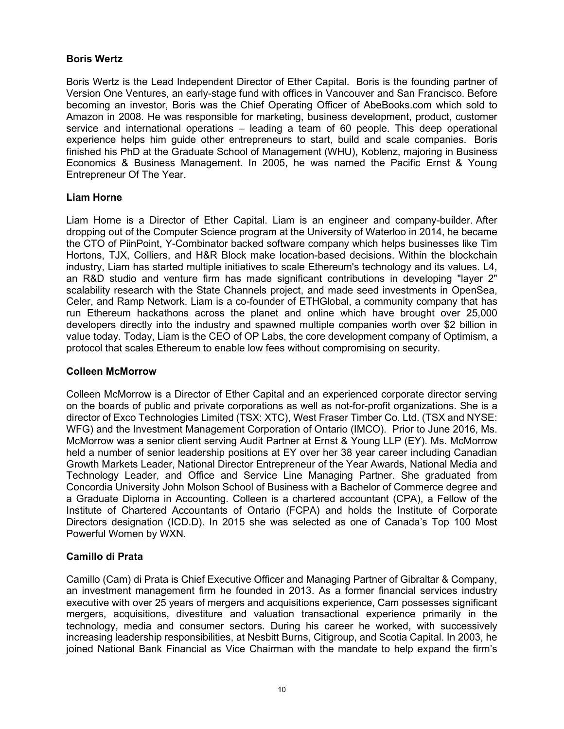# **Boris Wertz**

Boris Wertz is the Lead Independent Director of Ether Capital. Boris is the founding partner of Version One Ventures, an early-stage fund with offices in Vancouver and San Francisco. Before becoming an investor, Boris was the Chief Operating Officer of AbeBooks.com which sold to Amazon in 2008. He was responsible for marketing, business development, product, customer service and international operations – leading a team of 60 people. This deep operational experience helps him guide other entrepreneurs to start, build and scale companies. Boris finished his PhD at the Graduate School of Management (WHU), Koblenz, majoring in Business Economics & Business Management. In 2005, he was named the Pacific Ernst & Young Entrepreneur Of The Year.

# **Liam Horne**

Liam Horne is a Director of Ether Capital. Liam is an engineer and company-builder. After dropping out of the Computer Science program at the University of Waterloo in 2014, he became the CTO of PiinPoint, Y-Combinator backed software company which helps businesses like Tim Hortons, TJX, Colliers, and H&R Block make location-based decisions. Within the blockchain industry, Liam has started multiple initiatives to scale Ethereum's technology and its values. L4, an R&D studio and venture firm has made significant contributions in developing "layer 2" scalability research with the State Channels project, and made seed investments in OpenSea, Celer, and Ramp Network. Liam is a co-founder of ETHGlobal, a community company that has run Ethereum hackathons across the planet and online which have brought over 25,000 developers directly into the industry and spawned multiple companies worth over \$2 billion in value today. Today, Liam is the CEO of OP Labs, the core development company of Optimism, a protocol that scales Ethereum to enable low fees without compromising on security.

# **Colleen McMorrow**

Colleen McMorrow is a Director of Ether Capital and an experienced corporate director serving on the boards of public and private corporations as well as not-for-profit organizations. She is a director of Exco Technologies Limited (TSX: XTC), West Fraser Timber Co. Ltd. (TSX and NYSE: WFG) and the Investment Management Corporation of Ontario (IMCO). Prior to June 2016, Ms. McMorrow was a senior client serving Audit Partner at Ernst & Young LLP (EY). Ms. McMorrow held a number of senior leadership positions at EY over her 38 year career including Canadian Growth Markets Leader, National Director Entrepreneur of the Year Awards, National Media and Technology Leader, and Office and Service Line Managing Partner. She graduated from Concordia University John Molson School of Business with a Bachelor of Commerce degree and a Graduate Diploma in Accounting. Colleen is a chartered accountant (CPA), a Fellow of the Institute of Chartered Accountants of Ontario (FCPA) and holds the Institute of Corporate Directors designation (ICD.D). In 2015 she was selected as one of Canada's Top 100 Most Powerful Women by WXN.

# **Camillo di Prata**

Camillo (Cam) di Prata is Chief Executive Officer and Managing Partner of Gibraltar & Company, an investment management firm he founded in 2013. As a former financial services industry executive with over 25 years of mergers and acquisitions experience, Cam possesses significant mergers, acquisitions, divestiture and valuation transactional experience primarily in the technology, media and consumer sectors. During his career he worked, with successively increasing leadership responsibilities, at Nesbitt Burns, Citigroup, and Scotia Capital. In 2003, he joined National Bank Financial as Vice Chairman with the mandate to help expand the firm's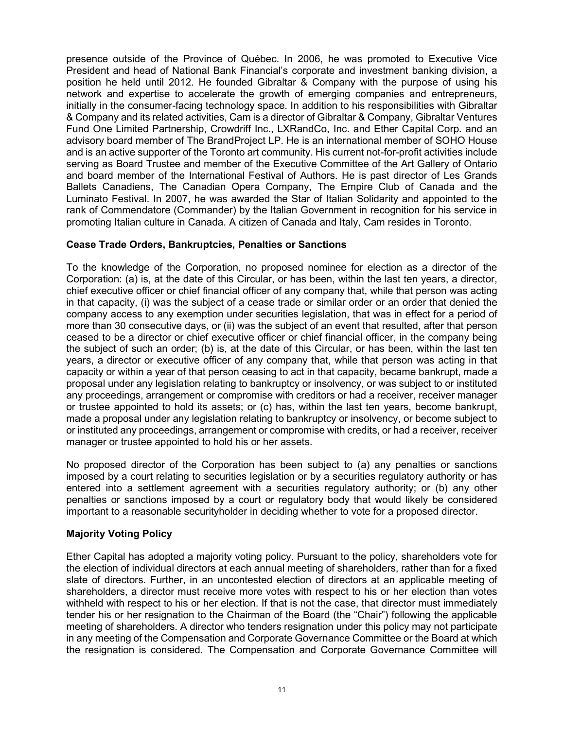presence outside of the Province of Québec. In 2006, he was promoted to Executive Vice President and head of National Bank Financial's corporate and investment banking division, a position he held until 2012. He founded Gibraltar & Company with the purpose of using his network and expertise to accelerate the growth of emerging companies and entrepreneurs, initially in the consumer-facing technology space. In addition to his responsibilities with Gibraltar & Company and its related activities, Cam is a director of Gibraltar & Company, Gibraltar Ventures Fund One Limited Partnership, Crowdriff Inc., LXRandCo, Inc. and Ether Capital Corp. and an advisory board member of The BrandProject LP. He is an international member of SOHO House and is an active supporter of the Toronto art community. His current not-for-profit activities include serving as Board Trustee and member of the Executive Committee of the Art Gallery of Ontario and board member of the International Festival of Authors. He is past director of Les Grands Ballets Canadiens, The Canadian Opera Company, The Empire Club of Canada and the Luminato Festival. In 2007, he was awarded the Star of Italian Solidarity and appointed to the rank of Commendatore (Commander) by the Italian Government in recognition for his service in promoting Italian culture in Canada. A citizen of Canada and Italy, Cam resides in Toronto.

## **Cease Trade Orders, Bankruptcies, Penalties or Sanctions**

To the knowledge of the Corporation, no proposed nominee for election as a director of the Corporation: (a) is, at the date of this Circular, or has been, within the last ten years, a director, chief executive officer or chief financial officer of any company that, while that person was acting in that capacity, (i) was the subject of a cease trade or similar order or an order that denied the company access to any exemption under securities legislation, that was in effect for a period of more than 30 consecutive days, or (ii) was the subject of an event that resulted, after that person ceased to be a director or chief executive officer or chief financial officer, in the company being the subject of such an order; (b) is, at the date of this Circular, or has been, within the last ten years, a director or executive officer of any company that, while that person was acting in that capacity or within a year of that person ceasing to act in that capacity, became bankrupt, made a proposal under any legislation relating to bankruptcy or insolvency, or was subject to or instituted any proceedings, arrangement or compromise with creditors or had a receiver, receiver manager or trustee appointed to hold its assets; or (c) has, within the last ten years, become bankrupt, made a proposal under any legislation relating to bankruptcy or insolvency, or become subject to or instituted any proceedings, arrangement or compromise with credits, or had a receiver, receiver manager or trustee appointed to hold his or her assets.

No proposed director of the Corporation has been subject to (a) any penalties or sanctions imposed by a court relating to securities legislation or by a securities regulatory authority or has entered into a settlement agreement with a securities regulatory authority; or (b) any other penalties or sanctions imposed by a court or regulatory body that would likely be considered important to a reasonable securityholder in deciding whether to vote for a proposed director.

# **Majority Voting Policy**

Ether Capital has adopted a majority voting policy. Pursuant to the policy, shareholders vote for the election of individual directors at each annual meeting of shareholders, rather than for a fixed slate of directors. Further, in an uncontested election of directors at an applicable meeting of shareholders, a director must receive more votes with respect to his or her election than votes withheld with respect to his or her election. If that is not the case, that director must immediately tender his or her resignation to the Chairman of the Board (the "Chair") following the applicable meeting of shareholders. A director who tenders resignation under this policy may not participate in any meeting of the Compensation and Corporate Governance Committee or the Board at which the resignation is considered. The Compensation and Corporate Governance Committee will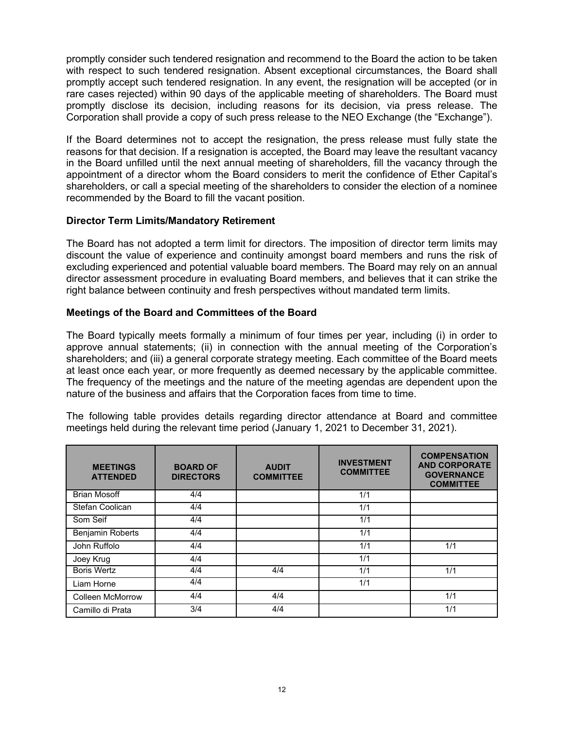promptly consider such tendered resignation and recommend to the Board the action to be taken with respect to such tendered resignation. Absent exceptional circumstances, the Board shall promptly accept such tendered resignation. In any event, the resignation will be accepted (or in rare cases rejected) within 90 days of the applicable meeting of shareholders. The Board must promptly disclose its decision, including reasons for its decision, via press release. The Corporation shall provide a copy of such press release to the NEO Exchange (the "Exchange").

If the Board determines not to accept the resignation, the press release must fully state the reasons for that decision. If a resignation is accepted, the Board may leave the resultant vacancy in the Board unfilled until the next annual meeting of shareholders, fill the vacancy through the appointment of a director whom the Board considers to merit the confidence of Ether Capital's shareholders, or call a special meeting of the shareholders to consider the election of a nominee recommended by the Board to fill the vacant position.

# **Director Term Limits/Mandatory Retirement**

The Board has not adopted a term limit for directors. The imposition of director term limits may discount the value of experience and continuity amongst board members and runs the risk of excluding experienced and potential valuable board members. The Board may rely on an annual director assessment procedure in evaluating Board members, and believes that it can strike the right balance between continuity and fresh perspectives without mandated term limits.

## **Meetings of the Board and Committees of the Board**

The Board typically meets formally a minimum of four times per year, including (i) in order to approve annual statements; (ii) in connection with the annual meeting of the Corporation's shareholders; and (iii) a general corporate strategy meeting. Each committee of the Board meets at least once each year, or more frequently as deemed necessary by the applicable committee. The frequency of the meetings and the nature of the meeting agendas are dependent upon the nature of the business and affairs that the Corporation faces from time to time.

The following table provides details regarding director attendance at Board and committee meetings held during the relevant time period (January 1, 2021 to December 31, 2021).

| <b>MEETINGS</b><br><b>ATTENDED</b> | <b>BOARD OF</b><br><b>DIRECTORS</b> | <b>AUDIT</b><br><b>COMMITTEE</b> | <b>INVESTMENT</b><br><b>COMMITTEE</b> | <b>COMPENSATION</b><br><b>AND CORPORATE</b><br><b>GOVERNANCE</b><br><b>COMMITTEE</b> |
|------------------------------------|-------------------------------------|----------------------------------|---------------------------------------|--------------------------------------------------------------------------------------|
| <b>Brian Mosoff</b>                | 4/4                                 |                                  | 1/1                                   |                                                                                      |
| Stefan Coolican                    | 4/4                                 |                                  | 1/1                                   |                                                                                      |
| Som Seif                           | 4/4                                 |                                  | 1/1                                   |                                                                                      |
| <b>Benjamin Roberts</b>            | 4/4                                 |                                  | 1/1                                   |                                                                                      |
| John Ruffolo                       | 4/4                                 |                                  | 1/1                                   | 1/1                                                                                  |
| Joey Krug                          | 4/4                                 |                                  | 1/1                                   |                                                                                      |
| <b>Boris Wertz</b>                 | 4/4                                 | 4/4                              | 1/1                                   | 1/1                                                                                  |
| Liam Horne                         | 4/4                                 |                                  | 1/1                                   |                                                                                      |
| <b>Colleen McMorrow</b>            | 4/4                                 | 4/4                              |                                       | 1/1                                                                                  |
| Camillo di Prata                   | 3/4                                 | 4/4                              |                                       | 1/1                                                                                  |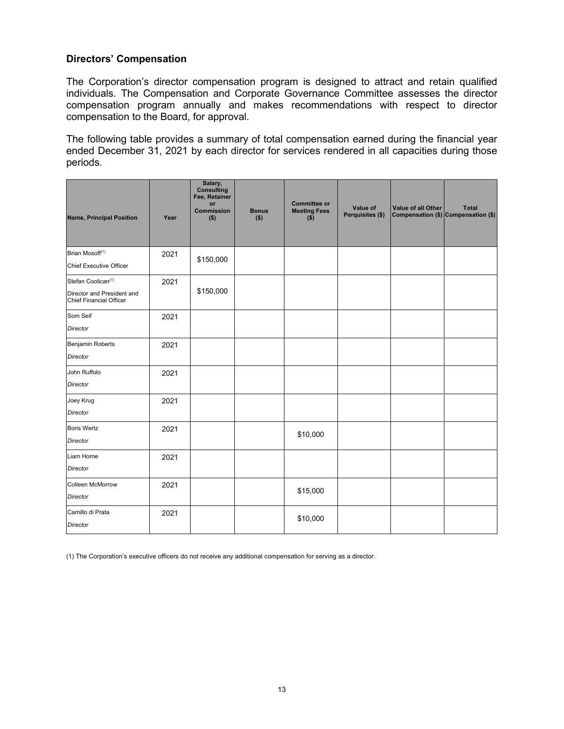# **Directors' Compensation**

The Corporation's director compensation program is designed to attract and retain qualified individuals. The Compensation and Corporate Governance Committee assesses the director compensation program annually and makes recommendations with respect to director compensation to the Board, for approval.

The following table provides a summary of total compensation earned during the financial year ended December 31, 2021 by each director for services rendered in all capacities during those periods.

| <b>Name, Principal Position</b>                                                                | Year | Salary,<br><b>Consulting</b><br>Fee, Retainer<br>or<br><b>Commission</b><br>$($ \$) | <b>Bonus</b><br>$($ \$) | <b>Committee or</b><br><b>Meeting Fees</b><br>$($ \$) | Value of<br>Perquisites (\$) | Value of all Other | <b>Total</b><br>Compensation (\$) Compensation (\$) |
|------------------------------------------------------------------------------------------------|------|-------------------------------------------------------------------------------------|-------------------------|-------------------------------------------------------|------------------------------|--------------------|-----------------------------------------------------|
| Brian Mosoff <sup>(1)</sup><br>Chief Executive Officer                                         | 2021 | \$150,000                                                                           |                         |                                                       |                              |                    |                                                     |
| Stefan Coolican <sup>(1)</sup><br>Director and President and<br><b>Chief Financial Officer</b> | 2021 | \$150,000                                                                           |                         |                                                       |                              |                    |                                                     |
| Som Seif<br>Director                                                                           | 2021 |                                                                                     |                         |                                                       |                              |                    |                                                     |
| Benjamin Roberts<br><b>Director</b>                                                            | 2021 |                                                                                     |                         |                                                       |                              |                    |                                                     |
| John Ruffolo<br><b>Director</b>                                                                | 2021 |                                                                                     |                         |                                                       |                              |                    |                                                     |
| Joey Krug<br><b>Director</b>                                                                   | 2021 |                                                                                     |                         |                                                       |                              |                    |                                                     |
| <b>Boris Wertz</b><br><b>Director</b>                                                          | 2021 |                                                                                     |                         | \$10,000                                              |                              |                    |                                                     |
| Liam Horne<br><b>Director</b>                                                                  | 2021 |                                                                                     |                         |                                                       |                              |                    |                                                     |
| <b>Colleen McMorrow</b><br><b>Director</b>                                                     | 2021 |                                                                                     |                         | \$15,000                                              |                              |                    |                                                     |
| Camillo di Prata<br>Director                                                                   | 2021 |                                                                                     |                         | \$10,000                                              |                              |                    |                                                     |

(1) The Corporation's executive officers do not receive any additional compensation for serving as a director.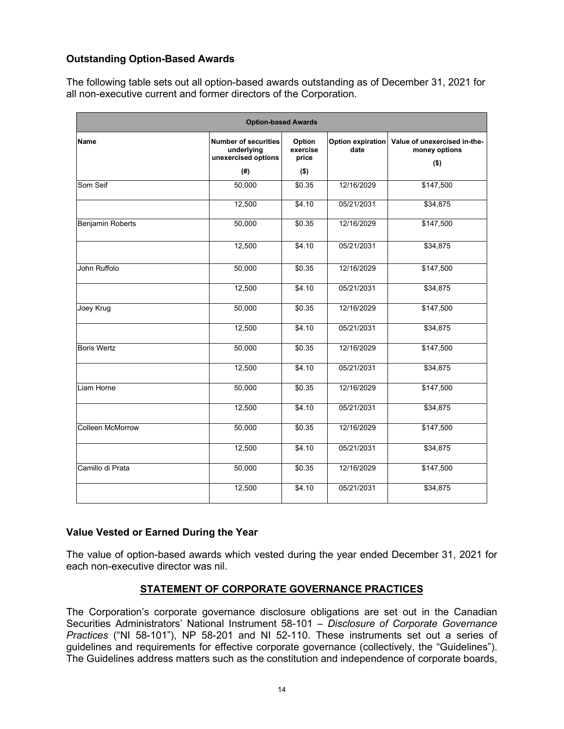# **Outstanding Option-Based Awards**

The following table sets out all option-based awards outstanding as of December 31, 2021 for all non-executive current and former directors of the Corporation.

| <b>Option-based Awards</b> |                                                                  |                             |                           |                                               |  |  |  |
|----------------------------|------------------------------------------------------------------|-----------------------------|---------------------------|-----------------------------------------------|--|--|--|
| Name                       | <b>Number of securities</b><br>underlying<br>unexercised options | Option<br>exercise<br>price | Option expiration<br>date | Value of unexercised in-the-<br>money options |  |  |  |
|                            | (#)                                                              | $($ \$)                     |                           | $($ \$)                                       |  |  |  |
| Som Seif                   | 50,000                                                           | \$0.35                      | 12/16/2029                | \$147,500                                     |  |  |  |
|                            | 12,500                                                           | \$4.10                      | 05/21/2031                | \$34,875                                      |  |  |  |
| <b>Benjamin Roberts</b>    | 50,000                                                           | \$0.35                      | 12/16/2029                | \$147,500                                     |  |  |  |
|                            | 12,500                                                           | \$4.10                      | 05/21/2031                | \$34,875                                      |  |  |  |
| John Ruffolo               | 50,000                                                           | \$0.35                      | 12/16/2029                | \$147,500                                     |  |  |  |
|                            | 12,500                                                           | \$4.10                      | 05/21/2031                | \$34,875                                      |  |  |  |
| Joey Krug                  | 50,000                                                           | \$0.35                      | 12/16/2029                | \$147,500                                     |  |  |  |
|                            | 12,500                                                           | \$4.10                      | 05/21/2031                | \$34,875                                      |  |  |  |
| <b>Boris Wertz</b>         | 50,000                                                           | \$0.35                      | 12/16/2029                | \$147,500                                     |  |  |  |
|                            | 12,500                                                           | \$4.10                      | 05/21/2031                | \$34,875                                      |  |  |  |
| Liam Horne                 | 50,000                                                           | \$0.35                      | 12/16/2029                | \$147,500                                     |  |  |  |
|                            | 12,500                                                           | \$4.10                      | 05/21/2031                | \$34,875                                      |  |  |  |
| <b>Colleen McMorrow</b>    | 50,000                                                           | \$0.35                      | 12/16/2029                | \$147,500                                     |  |  |  |
|                            | 12,500                                                           | \$4.10                      | 05/21/2031                | \$34,875                                      |  |  |  |
| Camillo di Prata           | 50,000                                                           | \$0.35                      | 12/16/2029                | \$147,500                                     |  |  |  |
|                            | 12,500                                                           | \$4.10                      | 05/21/2031                | \$34,875                                      |  |  |  |

# **Value Vested or Earned During the Year**

The value of option-based awards which vested during the year ended December 31, 2021 for each non-executive director was nil.

# **STATEMENT OF CORPORATE GOVERNANCE PRACTICES**

The Corporation's corporate governance disclosure obligations are set out in the Canadian Securities Administrators' National Instrument 58-101 – *Disclosure of Corporate Governance Practices* ("NI 58-101"), NP 58-201 and NI 52-110. These instruments set out a series of guidelines and requirements for effective corporate governance (collectively, the "Guidelines"). The Guidelines address matters such as the constitution and independence of corporate boards,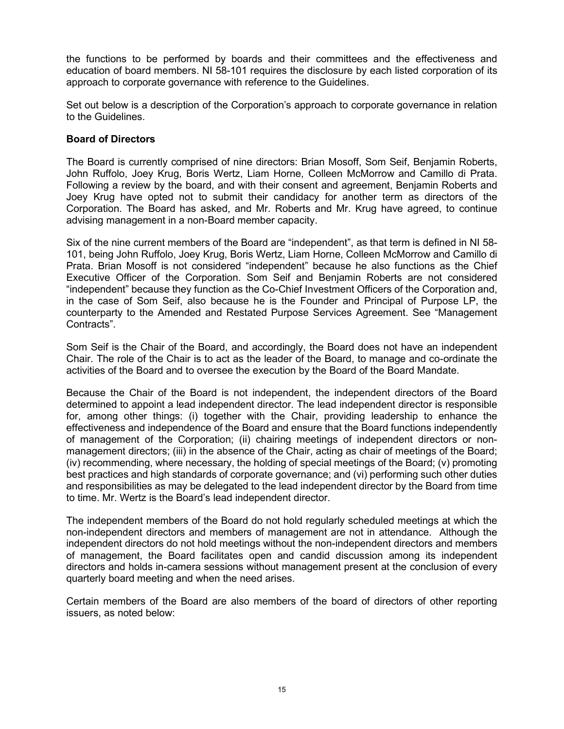the functions to be performed by boards and their committees and the effectiveness and education of board members. NI 58-101 requires the disclosure by each listed corporation of its approach to corporate governance with reference to the Guidelines.

Set out below is a description of the Corporation's approach to corporate governance in relation to the Guidelines.

## **Board of Directors**

The Board is currently comprised of nine directors: Brian Mosoff, Som Seif, Benjamin Roberts, John Ruffolo, Joey Krug, Boris Wertz, Liam Horne, Colleen McMorrow and Camillo di Prata. Following a review by the board, and with their consent and agreement, Benjamin Roberts and Joey Krug have opted not to submit their candidacy for another term as directors of the Corporation. The Board has asked, and Mr. Roberts and Mr. Krug have agreed, to continue advising management in a non-Board member capacity.

Six of the nine current members of the Board are "independent", as that term is defined in NI 58- 101, being John Ruffolo, Joey Krug, Boris Wertz, Liam Horne, Colleen McMorrow and Camillo di Prata. Brian Mosoff is not considered "independent" because he also functions as the Chief Executive Officer of the Corporation. Som Seif and Benjamin Roberts are not considered "independent" because they function as the Co-Chief Investment Officers of the Corporation and, in the case of Som Seif, also because he is the Founder and Principal of Purpose LP, the counterparty to the Amended and Restated Purpose Services Agreement. See "Management Contracts".

Som Seif is the Chair of the Board, and accordingly, the Board does not have an independent Chair. The role of the Chair is to act as the leader of the Board, to manage and co-ordinate the activities of the Board and to oversee the execution by the Board of the Board Mandate.

Because the Chair of the Board is not independent, the independent directors of the Board determined to appoint a lead independent director. The lead independent director is responsible for, among other things: (i) together with the Chair, providing leadership to enhance the effectiveness and independence of the Board and ensure that the Board functions independently of management of the Corporation; (ii) chairing meetings of independent directors or nonmanagement directors; (iii) in the absence of the Chair, acting as chair of meetings of the Board; (iv) recommending, where necessary, the holding of special meetings of the Board; (v) promoting best practices and high standards of corporate governance; and (vi) performing such other duties and responsibilities as may be delegated to the lead independent director by the Board from time to time. Mr. Wertz is the Board's lead independent director.

The independent members of the Board do not hold regularly scheduled meetings at which the non-independent directors and members of management are not in attendance. Although the independent directors do not hold meetings without the non-independent directors and members of management, the Board facilitates open and candid discussion among its independent directors and holds in-camera sessions without management present at the conclusion of every quarterly board meeting and when the need arises.

Certain members of the Board are also members of the board of directors of other reporting issuers, as noted below: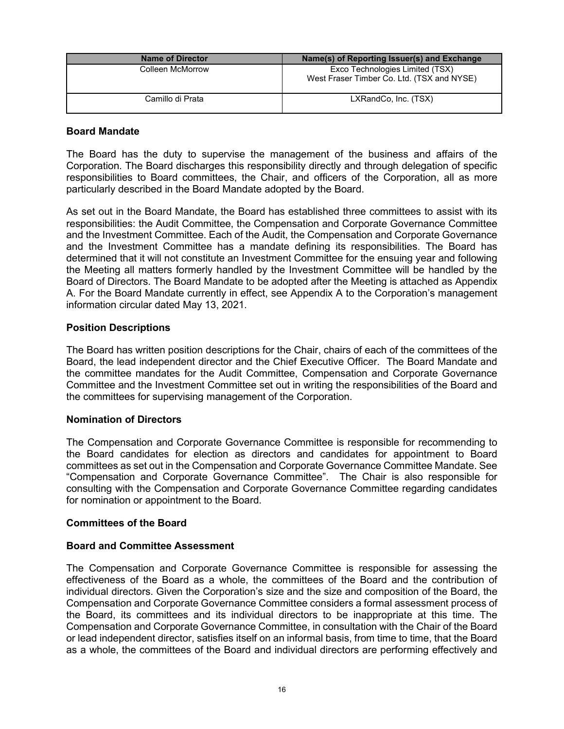| <b>Name of Director</b> | Name(s) of Reporting Issuer(s) and Exchange                                   |
|-------------------------|-------------------------------------------------------------------------------|
| Colleen McMorrow        | Exco Technologies Limited (TSX)<br>West Fraser Timber Co. Ltd. (TSX and NYSE) |
| Camillo di Prata        | LXRandCo, Inc. (TSX)                                                          |

## **Board Mandate**

The Board has the duty to supervise the management of the business and affairs of the Corporation. The Board discharges this responsibility directly and through delegation of specific responsibilities to Board committees, the Chair, and officers of the Corporation, all as more particularly described in the Board Mandate adopted by the Board.

As set out in the Board Mandate, the Board has established three committees to assist with its responsibilities: the Audit Committee, the Compensation and Corporate Governance Committee and the Investment Committee. Each of the Audit, the Compensation and Corporate Governance and the Investment Committee has a mandate defining its responsibilities. The Board has determined that it will not constitute an Investment Committee for the ensuing year and following the Meeting all matters formerly handled by the Investment Committee will be handled by the Board of Directors. The Board Mandate to be adopted after the Meeting is attached as Appendix A. For the Board Mandate currently in effect, see Appendix A to the Corporation's management information circular dated May 13, 2021.

## **Position Descriptions**

The Board has written position descriptions for the Chair, chairs of each of the committees of the Board, the lead independent director and the Chief Executive Officer. The Board Mandate and the committee mandates for the Audit Committee, Compensation and Corporate Governance Committee and the Investment Committee set out in writing the responsibilities of the Board and the committees for supervising management of the Corporation.

# **Nomination of Directors**

The Compensation and Corporate Governance Committee is responsible for recommending to the Board candidates for election as directors and candidates for appointment to Board committees as set out in the Compensation and Corporate Governance Committee Mandate. See "Compensation and Corporate Governance Committee". The Chair is also responsible for consulting with the Compensation and Corporate Governance Committee regarding candidates for nomination or appointment to the Board.

#### **Committees of the Board**

#### **Board and Committee Assessment**

The Compensation and Corporate Governance Committee is responsible for assessing the effectiveness of the Board as a whole, the committees of the Board and the contribution of individual directors. Given the Corporation's size and the size and composition of the Board, the Compensation and Corporate Governance Committee considers a formal assessment process of the Board, its committees and its individual directors to be inappropriate at this time. The Compensation and Corporate Governance Committee, in consultation with the Chair of the Board or lead independent director, satisfies itself on an informal basis, from time to time, that the Board as a whole, the committees of the Board and individual directors are performing effectively and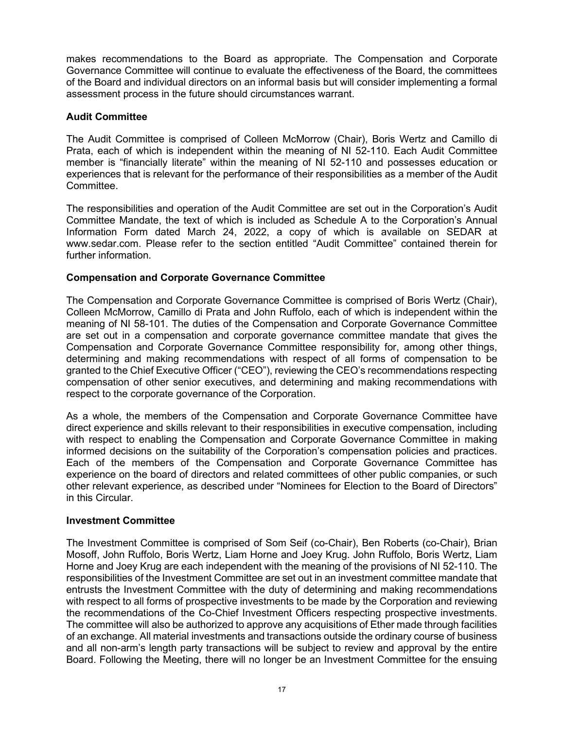makes recommendations to the Board as appropriate. The Compensation and Corporate Governance Committee will continue to evaluate the effectiveness of the Board, the committees of the Board and individual directors on an informal basis but will consider implementing a formal assessment process in the future should circumstances warrant.

## **Audit Committee**

The Audit Committee is comprised of Colleen McMorrow (Chair), Boris Wertz and Camillo di Prata, each of which is independent within the meaning of NI 52-110. Each Audit Committee member is "financially literate" within the meaning of NI 52-110 and possesses education or experiences that is relevant for the performance of their responsibilities as a member of the Audit **Committee.** 

The responsibilities and operation of the Audit Committee are set out in the Corporation's Audit Committee Mandate, the text of which is included as Schedule A to the Corporation's Annual Information Form dated March 24, 2022, a copy of which is available on SEDAR at www.sedar.com. Please refer to the section entitled "Audit Committee" contained therein for further information.

## **Compensation and Corporate Governance Committee**

The Compensation and Corporate Governance Committee is comprised of Boris Wertz (Chair), Colleen McMorrow, Camillo di Prata and John Ruffolo, each of which is independent within the meaning of NI 58-101. The duties of the Compensation and Corporate Governance Committee are set out in a compensation and corporate governance committee mandate that gives the Compensation and Corporate Governance Committee responsibility for, among other things, determining and making recommendations with respect of all forms of compensation to be granted to the Chief Executive Officer ("CEO"), reviewing the CEO's recommendations respecting compensation of other senior executives, and determining and making recommendations with respect to the corporate governance of the Corporation.

As a whole, the members of the Compensation and Corporate Governance Committee have direct experience and skills relevant to their responsibilities in executive compensation, including with respect to enabling the Compensation and Corporate Governance Committee in making informed decisions on the suitability of the Corporation's compensation policies and practices. Each of the members of the Compensation and Corporate Governance Committee has experience on the board of directors and related committees of other public companies, or such other relevant experience, as described under "Nominees for Election to the Board of Directors" in this Circular.

#### **Investment Committee**

The Investment Committee is comprised of Som Seif (co-Chair), Ben Roberts (co-Chair), Brian Mosoff, John Ruffolo, Boris Wertz, Liam Horne and Joey Krug. John Ruffolo, Boris Wertz, Liam Horne and Joey Krug are each independent with the meaning of the provisions of NI 52-110. The responsibilities of the Investment Committee are set out in an investment committee mandate that entrusts the Investment Committee with the duty of determining and making recommendations with respect to all forms of prospective investments to be made by the Corporation and reviewing the recommendations of the Co-Chief Investment Officers respecting prospective investments. The committee will also be authorized to approve any acquisitions of Ether made through facilities of an exchange. All material investments and transactions outside the ordinary course of business and all non-arm's length party transactions will be subject to review and approval by the entire Board. Following the Meeting, there will no longer be an Investment Committee for the ensuing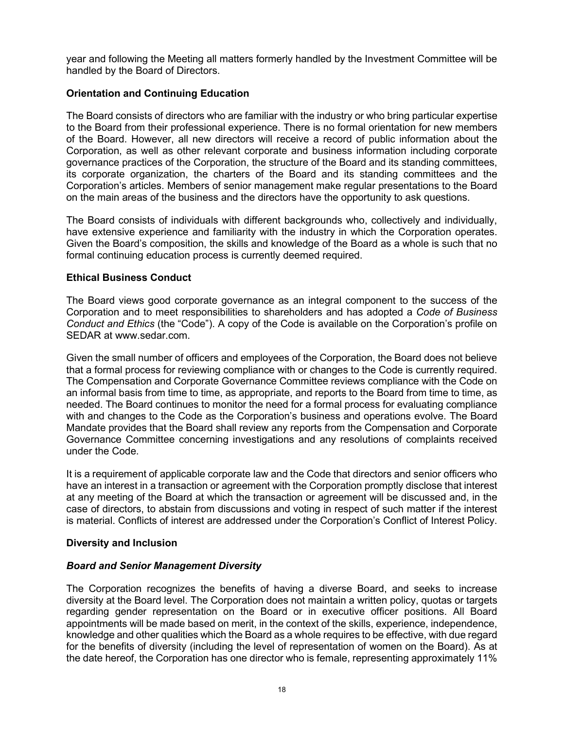year and following the Meeting all matters formerly handled by the Investment Committee will be handled by the Board of Directors.

# **Orientation and Continuing Education**

The Board consists of directors who are familiar with the industry or who bring particular expertise to the Board from their professional experience. There is no formal orientation for new members of the Board. However, all new directors will receive a record of public information about the Corporation, as well as other relevant corporate and business information including corporate governance practices of the Corporation, the structure of the Board and its standing committees, its corporate organization, the charters of the Board and its standing committees and the Corporation's articles. Members of senior management make regular presentations to the Board on the main areas of the business and the directors have the opportunity to ask questions.

The Board consists of individuals with different backgrounds who, collectively and individually, have extensive experience and familiarity with the industry in which the Corporation operates. Given the Board's composition, the skills and knowledge of the Board as a whole is such that no formal continuing education process is currently deemed required.

# **Ethical Business Conduct**

The Board views good corporate governance as an integral component to the success of the Corporation and to meet responsibilities to shareholders and has adopted a *Code of Business Conduct and Ethics* (the "Code"). A copy of the Code is available on the Corporation's profile on SEDAR at www.sedar.com.

Given the small number of officers and employees of the Corporation, the Board does not believe that a formal process for reviewing compliance with or changes to the Code is currently required. The Compensation and Corporate Governance Committee reviews compliance with the Code on an informal basis from time to time, as appropriate, and reports to the Board from time to time, as needed. The Board continues to monitor the need for a formal process for evaluating compliance with and changes to the Code as the Corporation's business and operations evolve. The Board Mandate provides that the Board shall review any reports from the Compensation and Corporate Governance Committee concerning investigations and any resolutions of complaints received under the Code.

It is a requirement of applicable corporate law and the Code that directors and senior officers who have an interest in a transaction or agreement with the Corporation promptly disclose that interest at any meeting of the Board at which the transaction or agreement will be discussed and, in the case of directors, to abstain from discussions and voting in respect of such matter if the interest is material. Conflicts of interest are addressed under the Corporation's Conflict of Interest Policy.

# **Diversity and Inclusion**

# *Board and Senior Management Diversity*

The Corporation recognizes the benefits of having a diverse Board, and seeks to increase diversity at the Board level. The Corporation does not maintain a written policy, quotas or targets regarding gender representation on the Board or in executive officer positions. All Board appointments will be made based on merit, in the context of the skills, experience, independence, knowledge and other qualities which the Board as a whole requires to be effective, with due regard for the benefits of diversity (including the level of representation of women on the Board). As at the date hereof, the Corporation has one director who is female, representing approximately 11%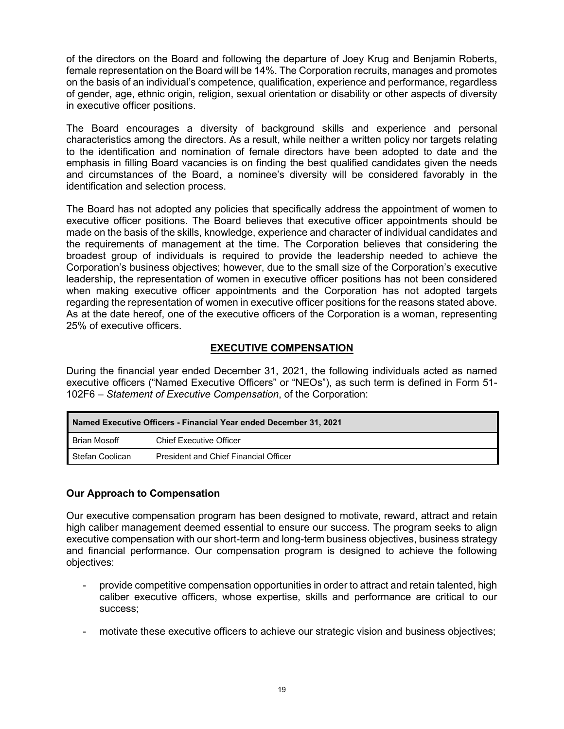of the directors on the Board and following the departure of Joey Krug and Benjamin Roberts, female representation on the Board will be 14%. The Corporation recruits, manages and promotes on the basis of an individual's competence, qualification, experience and performance, regardless of gender, age, ethnic origin, religion, sexual orientation or disability or other aspects of diversity in executive officer positions.

The Board encourages a diversity of background skills and experience and personal characteristics among the directors. As a result, while neither a written policy nor targets relating to the identification and nomination of female directors have been adopted to date and the emphasis in filling Board vacancies is on finding the best qualified candidates given the needs and circumstances of the Board, a nominee's diversity will be considered favorably in the identification and selection process.

The Board has not adopted any policies that specifically address the appointment of women to executive officer positions. The Board believes that executive officer appointments should be made on the basis of the skills, knowledge, experience and character of individual candidates and the requirements of management at the time. The Corporation believes that considering the broadest group of individuals is required to provide the leadership needed to achieve the Corporation's business objectives; however, due to the small size of the Corporation's executive leadership, the representation of women in executive officer positions has not been considered when making executive officer appointments and the Corporation has not adopted targets regarding the representation of women in executive officer positions for the reasons stated above. As at the date hereof, one of the executive officers of the Corporation is a woman, representing 25% of executive officers.

# **EXECUTIVE COMPENSATION**

During the financial year ended December 31, 2021, the following individuals acted as named executive officers ("Named Executive Officers" or "NEOs"), as such term is defined in Form 51- 102F6 – *Statement of Executive Compensation*, of the Corporation:

| Named Executive Officers - Financial Year ended December 31, 2021 |                                              |  |  |
|-------------------------------------------------------------------|----------------------------------------------|--|--|
| ∣ Brian Mosoff                                                    | <b>Chief Executive Officer</b>               |  |  |
| Stefan Coolican                                                   | <b>President and Chief Financial Officer</b> |  |  |

# **Our Approach to Compensation**

Our executive compensation program has been designed to motivate, reward, attract and retain high caliber management deemed essential to ensure our success. The program seeks to align executive compensation with our short-term and long-term business objectives, business strategy and financial performance. Our compensation program is designed to achieve the following objectives:

- provide competitive compensation opportunities in order to attract and retain talented, high caliber executive officers, whose expertise, skills and performance are critical to our success;
- motivate these executive officers to achieve our strategic vision and business objectives;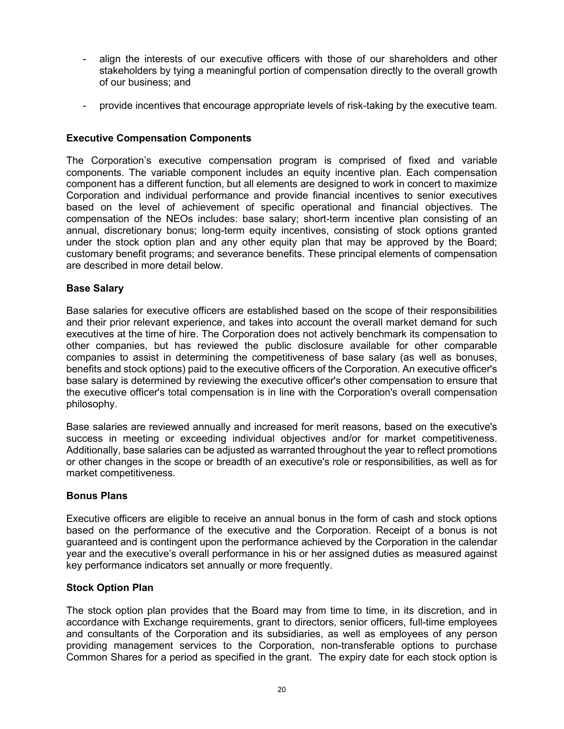- align the interests of our executive officers with those of our shareholders and other stakeholders by tying a meaningful portion of compensation directly to the overall growth of our business; and
- provide incentives that encourage appropriate levels of risk-taking by the executive team.

## **Executive Compensation Components**

The Corporation's executive compensation program is comprised of fixed and variable components. The variable component includes an equity incentive plan. Each compensation component has a different function, but all elements are designed to work in concert to maximize Corporation and individual performance and provide financial incentives to senior executives based on the level of achievement of specific operational and financial objectives. The compensation of the NEOs includes: base salary; short-term incentive plan consisting of an annual, discretionary bonus; long-term equity incentives, consisting of stock options granted under the stock option plan and any other equity plan that may be approved by the Board; customary benefit programs; and severance benefits. These principal elements of compensation are described in more detail below.

## **Base Salary**

Base salaries for executive officers are established based on the scope of their responsibilities and their prior relevant experience, and takes into account the overall market demand for such executives at the time of hire. The Corporation does not actively benchmark its compensation to other companies, but has reviewed the public disclosure available for other comparable companies to assist in determining the competitiveness of base salary (as well as bonuses, benefits and stock options) paid to the executive officers of the Corporation. An executive officer's base salary is determined by reviewing the executive officer's other compensation to ensure that the executive officer's total compensation is in line with the Corporation's overall compensation philosophy.

Base salaries are reviewed annually and increased for merit reasons, based on the executive's success in meeting or exceeding individual objectives and/or for market competitiveness. Additionally, base salaries can be adjusted as warranted throughout the year to reflect promotions or other changes in the scope or breadth of an executive's role or responsibilities, as well as for market competitiveness.

#### **Bonus Plans**

Executive officers are eligible to receive an annual bonus in the form of cash and stock options based on the performance of the executive and the Corporation. Receipt of a bonus is not guaranteed and is contingent upon the performance achieved by the Corporation in the calendar year and the executive's overall performance in his or her assigned duties as measured against key performance indicators set annually or more frequently.

#### **Stock Option Plan**

The stock option plan provides that the Board may from time to time, in its discretion, and in accordance with Exchange requirements, grant to directors, senior officers, full-time employees and consultants of the Corporation and its subsidiaries, as well as employees of any person providing management services to the Corporation, non-transferable options to purchase Common Shares for a period as specified in the grant. The expiry date for each stock option is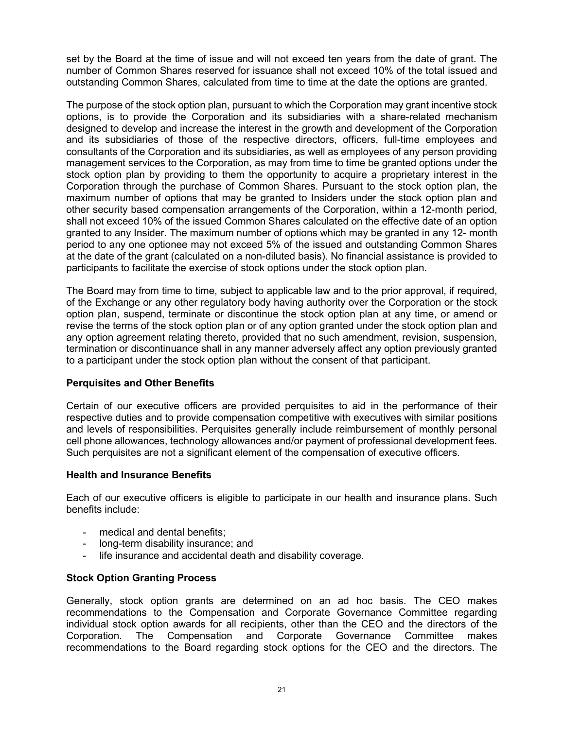set by the Board at the time of issue and will not exceed ten years from the date of grant. The number of Common Shares reserved for issuance shall not exceed 10% of the total issued and outstanding Common Shares, calculated from time to time at the date the options are granted.

The purpose of the stock option plan, pursuant to which the Corporation may grant incentive stock options, is to provide the Corporation and its subsidiaries with a share-related mechanism designed to develop and increase the interest in the growth and development of the Corporation and its subsidiaries of those of the respective directors, officers, full-time employees and consultants of the Corporation and its subsidiaries, as well as employees of any person providing management services to the Corporation, as may from time to time be granted options under the stock option plan by providing to them the opportunity to acquire a proprietary interest in the Corporation through the purchase of Common Shares. Pursuant to the stock option plan, the maximum number of options that may be granted to Insiders under the stock option plan and other security based compensation arrangements of the Corporation, within a 12-month period, shall not exceed 10% of the issued Common Shares calculated on the effective date of an option granted to any Insider. The maximum number of options which may be granted in any 12- month period to any one optionee may not exceed 5% of the issued and outstanding Common Shares at the date of the grant (calculated on a non-diluted basis). No financial assistance is provided to participants to facilitate the exercise of stock options under the stock option plan.

The Board may from time to time, subject to applicable law and to the prior approval, if required, of the Exchange or any other regulatory body having authority over the Corporation or the stock option plan, suspend, terminate or discontinue the stock option plan at any time, or amend or revise the terms of the stock option plan or of any option granted under the stock option plan and any option agreement relating thereto, provided that no such amendment, revision, suspension, termination or discontinuance shall in any manner adversely affect any option previously granted to a participant under the stock option plan without the consent of that participant.

# **Perquisites and Other Benefits**

Certain of our executive officers are provided perquisites to aid in the performance of their respective duties and to provide compensation competitive with executives with similar positions and levels of responsibilities. Perquisites generally include reimbursement of monthly personal cell phone allowances, technology allowances and/or payment of professional development fees. Such perquisites are not a significant element of the compensation of executive officers.

# **Health and Insurance Benefits**

Each of our executive officers is eligible to participate in our health and insurance plans. Such benefits include:

- medical and dental benefits;
- long-term disability insurance; and
- life insurance and accidental death and disability coverage.

# **Stock Option Granting Process**

Generally, stock option grants are determined on an ad hoc basis. The CEO makes recommendations to the Compensation and Corporate Governance Committee regarding individual stock option awards for all recipients, other than the CEO and the directors of the Corporation. The Compensation and Corporate Governance Committee makes recommendations to the Board regarding stock options for the CEO and the directors. The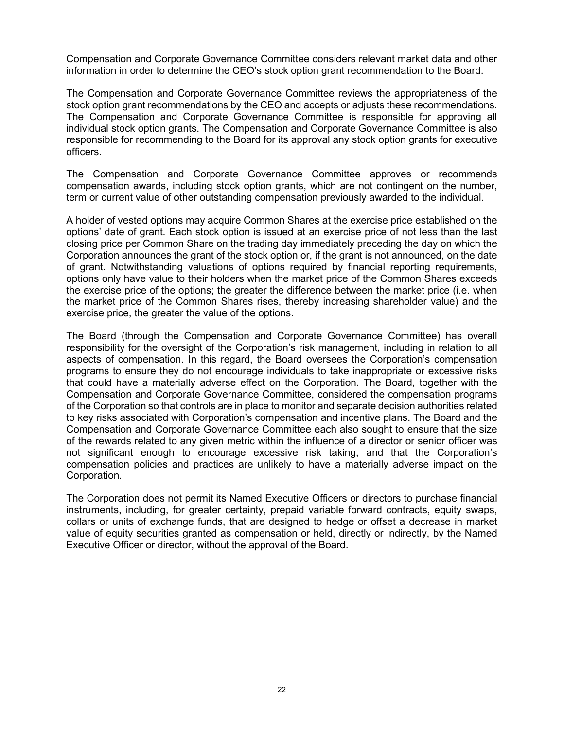Compensation and Corporate Governance Committee considers relevant market data and other information in order to determine the CEO's stock option grant recommendation to the Board.

The Compensation and Corporate Governance Committee reviews the appropriateness of the stock option grant recommendations by the CEO and accepts or adjusts these recommendations. The Compensation and Corporate Governance Committee is responsible for approving all individual stock option grants. The Compensation and Corporate Governance Committee is also responsible for recommending to the Board for its approval any stock option grants for executive officers.

The Compensation and Corporate Governance Committee approves or recommends compensation awards, including stock option grants, which are not contingent on the number, term or current value of other outstanding compensation previously awarded to the individual.

A holder of vested options may acquire Common Shares at the exercise price established on the options' date of grant. Each stock option is issued at an exercise price of not less than the last closing price per Common Share on the trading day immediately preceding the day on which the Corporation announces the grant of the stock option or, if the grant is not announced, on the date of grant. Notwithstanding valuations of options required by financial reporting requirements, options only have value to their holders when the market price of the Common Shares exceeds the exercise price of the options; the greater the difference between the market price (i.e. when the market price of the Common Shares rises, thereby increasing shareholder value) and the exercise price, the greater the value of the options.

The Board (through the Compensation and Corporate Governance Committee) has overall responsibility for the oversight of the Corporation's risk management, including in relation to all aspects of compensation. In this regard, the Board oversees the Corporation's compensation programs to ensure they do not encourage individuals to take inappropriate or excessive risks that could have a materially adverse effect on the Corporation. The Board, together with the Compensation and Corporate Governance Committee, considered the compensation programs of the Corporation so that controls are in place to monitor and separate decision authorities related to key risks associated with Corporation's compensation and incentive plans. The Board and the Compensation and Corporate Governance Committee each also sought to ensure that the size of the rewards related to any given metric within the influence of a director or senior officer was not significant enough to encourage excessive risk taking, and that the Corporation's compensation policies and practices are unlikely to have a materially adverse impact on the Corporation.

The Corporation does not permit its Named Executive Officers or directors to purchase financial instruments, including, for greater certainty, prepaid variable forward contracts, equity swaps, collars or units of exchange funds, that are designed to hedge or offset a decrease in market value of equity securities granted as compensation or held, directly or indirectly, by the Named Executive Officer or director, without the approval of the Board.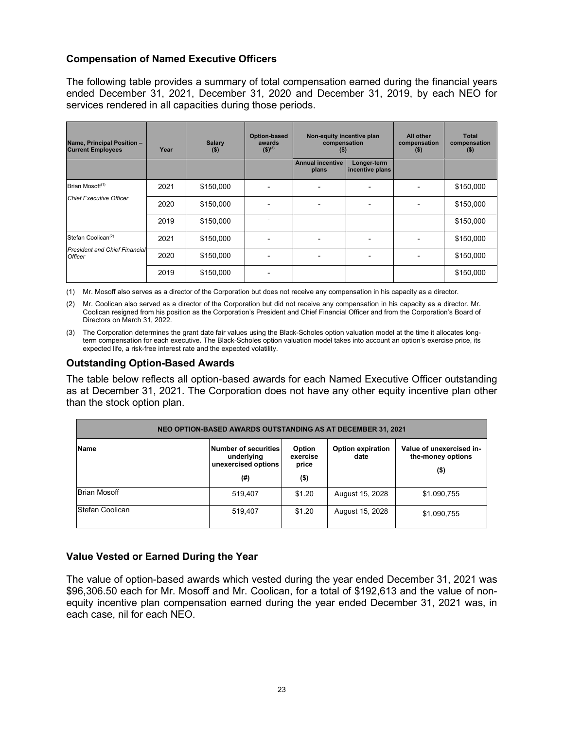# **Compensation of Named Executive Officers**

The following table provides a summary of total compensation earned during the financial years ended December 31, 2021, December 31, 2020 and December 31, 2019, by each NEO for services rendered in all capacities during those periods.

| Name, Principal Position -<br><b>Current Employees</b> | Year | Salary<br>$($ \$) | Option-based<br>awards<br>$(5)^{(3)}$ | Non-equity incentive plan<br>compensation<br>(5) |                                | All other<br>compensation<br>$($ \$) | <b>Total</b><br>compensation<br>(5) |
|--------------------------------------------------------|------|-------------------|---------------------------------------|--------------------------------------------------|--------------------------------|--------------------------------------|-------------------------------------|
|                                                        |      |                   |                                       | <b>Annual incentive</b><br>plans                 | Longer-term<br>incentive plans |                                      |                                     |
| Brian Mosoff <sup>(1)</sup>                            | 2021 | \$150,000         |                                       |                                                  |                                |                                      | \$150,000                           |
| <b>Chief Executive Officer</b>                         | 2020 | \$150,000         |                                       |                                                  |                                |                                      | \$150,000                           |
|                                                        | 2019 | \$150,000         |                                       |                                                  |                                |                                      | \$150,000                           |
| Stefan Coolican <sup>(2)</sup>                         | 2021 | \$150,000         |                                       |                                                  |                                |                                      | \$150,000                           |
| <b>President and Chief Financial</b><br><b>Officer</b> | 2020 | \$150,000         |                                       |                                                  |                                |                                      | \$150,000                           |
|                                                        | 2019 | \$150,000         |                                       |                                                  |                                |                                      | \$150,000                           |

(1) Mr. Mosoff also serves as a director of the Corporation but does not receive any compensation in his capacity as a director.

(2) Mr. Coolican also served as a director of the Corporation but did not receive any compensation in his capacity as a director. Mr. Coolican resigned from his position as the Corporation's President and Chief Financial Officer and from the Corporation's Board of Directors on March 31, 2022.

(3) The Corporation determines the grant date fair values using the Black-Scholes option valuation model at the time it allocates longterm compensation for each executive. The Black-Scholes option valuation model takes into account an option's exercise price, its expected life, a risk-free interest rate and the expected volatility.

## **Outstanding Option-Based Awards**

The table below reflects all option-based awards for each Named Executive Officer outstanding as at December 31, 2021. The Corporation does not have any other equity incentive plan other than the stock option plan.

| NEO OPTION-BASED AWARDS OUTSTANDING AS AT DECEMBER 31, 2021 |                                                                  |                                        |                                  |                                                          |  |  |
|-------------------------------------------------------------|------------------------------------------------------------------|----------------------------------------|----------------------------------|----------------------------------------------------------|--|--|
| Name                                                        | Number of securities<br>underlying<br>unexercised options<br>(#) | Option<br>exercise<br>price<br>$($ \$) | <b>Option expiration</b><br>date | Value of unexercised in-<br>the-money options<br>$($ \$) |  |  |
| <b>Brian Mosoff</b>                                         | 519.407                                                          | \$1.20                                 | August 15, 2028                  | \$1,090,755                                              |  |  |
| Stefan Coolican                                             | 519.407                                                          | \$1.20                                 | August 15, 2028                  | \$1,090,755                                              |  |  |

# **Value Vested or Earned During the Year**

The value of option-based awards which vested during the year ended December 31, 2021 was \$96,306.50 each for Mr. Mosoff and Mr. Coolican, for a total of \$192,613 and the value of nonequity incentive plan compensation earned during the year ended December 31, 2021 was, in each case, nil for each NEO.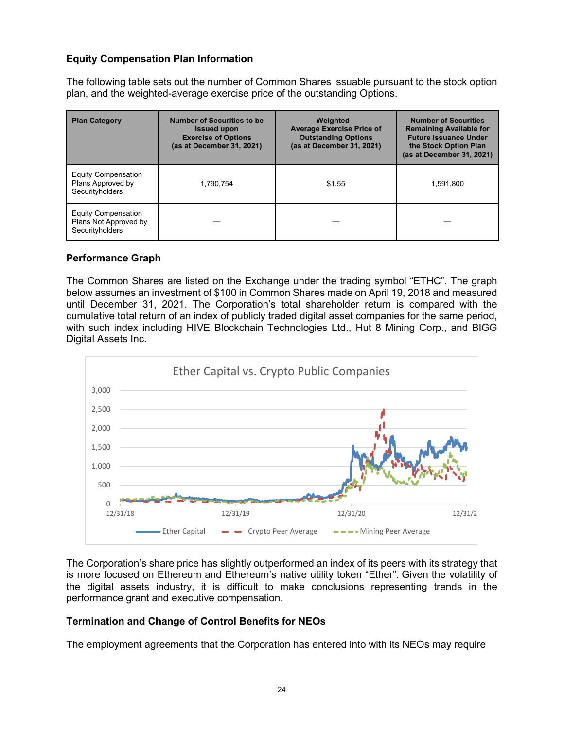# **Equity Compensation Plan Information**

The following table sets out the number of Common Shares issuable pursuant to the stock option plan, and the weighted-average exercise price of the outstanding Options.

| <b>Plan Category</b>                                                   | <b>Number of Securities to be</b><br><b>Issued upon</b><br><b>Exercise of Options</b><br>(as at December 31, 2021) | Weighted-<br><b>Average Exercise Price of</b><br><b>Outstanding Options</b><br>(as at December 31, 2021) | <b>Number of Securities</b><br><b>Remaining Available for</b><br><b>Future Issuance Under</b><br>the Stock Option Plan<br>(as at December 31, 2021) |
|------------------------------------------------------------------------|--------------------------------------------------------------------------------------------------------------------|----------------------------------------------------------------------------------------------------------|-----------------------------------------------------------------------------------------------------------------------------------------------------|
| <b>Equity Compensation</b><br>Plans Approved by<br>Securityholders     | 1.790.754                                                                                                          | \$1.55                                                                                                   | 1.591.800                                                                                                                                           |
| <b>Equity Compensation</b><br>Plans Not Approved by<br>Securityholders |                                                                                                                    |                                                                                                          |                                                                                                                                                     |

# **Performance Graph**

The Common Shares are listed on the Exchange under the trading symbol "ETHC". The graph below assumes an investment of \$100 in Common Shares made on April 19, 2018 and measured until December 31, 2021. The Corporation's total shareholder return is compared with the cumulative total return of an index of publicly traded digital asset companies for the same period, with such index including HIVE Blockchain Technologies Ltd., Hut 8 Mining Corp., and BIGG Digital Assets Inc.



The Corporation's share price has slightly outperformed an index of its peers with its strategy that is more focused on Ethereum and Ethereum's native utility token "Ether". Given the volatility of the digital assets industry, it is difficult to make conclusions representing trends in the performance grant and executive compensation.

# **Termination and Change of Control Benefits for NEOs**

The employment agreements that the Corporation has entered into with its NEOs may require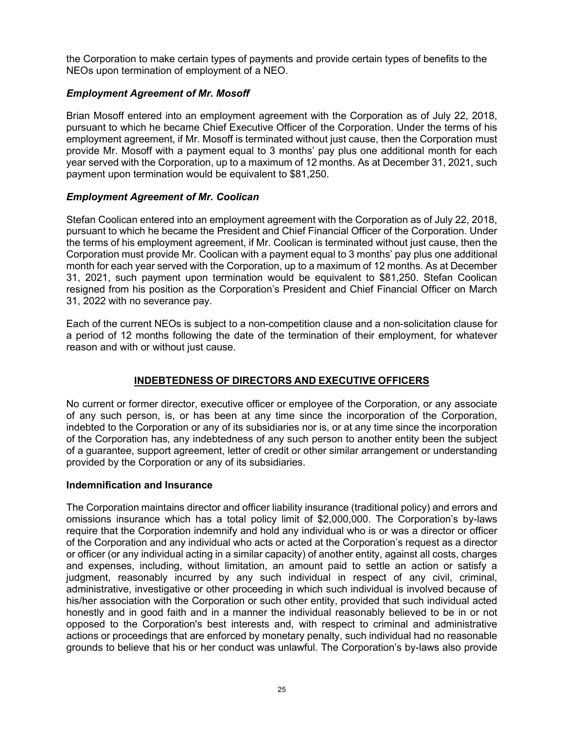the Corporation to make certain types of payments and provide certain types of benefits to the NEOs upon termination of employment of a NEO.

# *Employment Agreement of Mr. Mosoff*

Brian Mosoff entered into an employment agreement with the Corporation as of July 22, 2018, pursuant to which he became Chief Executive Officer of the Corporation. Under the terms of his employment agreement, if Mr. Mosoff is terminated without just cause, then the Corporation must provide Mr. Mosoff with a payment equal to 3 months' pay plus one additional month for each year served with the Corporation, up to a maximum of 12 months. As at December 31, 2021, such payment upon termination would be equivalent to \$81,250.

# *Employment Agreement of Mr. Coolican*

Stefan Coolican entered into an employment agreement with the Corporation as of July 22, 2018, pursuant to which he became the President and Chief Financial Officer of the Corporation. Under the terms of his employment agreement, if Mr. Coolican is terminated without just cause, then the Corporation must provide Mr. Coolican with a payment equal to 3 months' pay plus one additional month for each year served with the Corporation, up to a maximum of 12 months. As at December 31, 2021, such payment upon termination would be equivalent to \$81,250. Stefan Coolican resigned from his position as the Corporation's President and Chief Financial Officer on March 31, 2022 with no severance pay.

Each of the current NEOs is subject to a non-competition clause and a non-solicitation clause for a period of 12 months following the date of the termination of their employment, for whatever reason and with or without just cause.

# **INDEBTEDNESS OF DIRECTORS AND EXECUTIVE OFFICERS**

No current or former director, executive officer or employee of the Corporation, or any associate of any such person, is, or has been at any time since the incorporation of the Corporation, indebted to the Corporation or any of its subsidiaries nor is, or at any time since the incorporation of the Corporation has, any indebtedness of any such person to another entity been the subject of a guarantee, support agreement, letter of credit or other similar arrangement or understanding provided by the Corporation or any of its subsidiaries.

# **Indemnification and Insurance**

The Corporation maintains director and officer liability insurance (traditional policy) and errors and omissions insurance which has a total policy limit of \$2,000,000. The Corporation's by-laws require that the Corporation indemnify and hold any individual who is or was a director or officer of the Corporation and any individual who acts or acted at the Corporation's request as a director or officer (or any individual acting in a similar capacity) of another entity, against all costs, charges and expenses, including, without limitation, an amount paid to settle an action or satisfy a judgment, reasonably incurred by any such individual in respect of any civil, criminal, administrative, investigative or other proceeding in which such individual is involved because of his/her association with the Corporation or such other entity, provided that such individual acted honestly and in good faith and in a manner the individual reasonably believed to be in or not opposed to the Corporation's best interests and, with respect to criminal and administrative actions or proceedings that are enforced by monetary penalty, such individual had no reasonable grounds to believe that his or her conduct was unlawful. The Corporation's by-laws also provide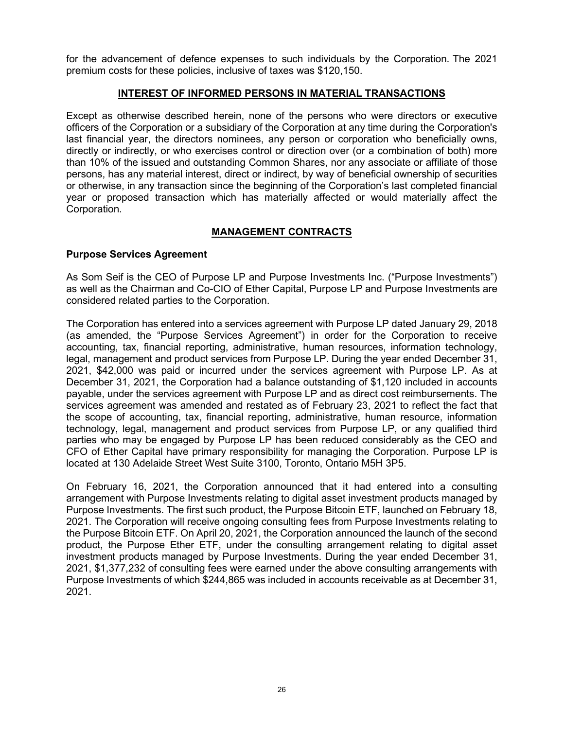for the advancement of defence expenses to such individuals by the Corporation. The 2021 premium costs for these policies, inclusive of taxes was \$120,150.

# **INTEREST OF INFORMED PERSONS IN MATERIAL TRANSACTIONS**

Except as otherwise described herein, none of the persons who were directors or executive officers of the Corporation or a subsidiary of the Corporation at any time during the Corporation's last financial year, the directors nominees, any person or corporation who beneficially owns, directly or indirectly, or who exercises control or direction over (or a combination of both) more than 10% of the issued and outstanding Common Shares, nor any associate or affiliate of those persons, has any material interest, direct or indirect, by way of beneficial ownership of securities or otherwise, in any transaction since the beginning of the Corporation's last completed financial year or proposed transaction which has materially affected or would materially affect the Corporation.

# **MANAGEMENT CONTRACTS**

## **Purpose Services Agreement**

As Som Seif is the CEO of Purpose LP and Purpose Investments Inc. ("Purpose Investments") as well as the Chairman and Co-CIO of Ether Capital, Purpose LP and Purpose Investments are considered related parties to the Corporation.

The Corporation has entered into a services agreement with Purpose LP dated January 29, 2018 (as amended, the "Purpose Services Agreement") in order for the Corporation to receive accounting, tax, financial reporting, administrative, human resources, information technology, legal, management and product services from Purpose LP. During the year ended December 31, 2021, \$42,000 was paid or incurred under the services agreement with Purpose LP. As at December 31, 2021, the Corporation had a balance outstanding of \$1,120 included in accounts payable, under the services agreement with Purpose LP and as direct cost reimbursements. The services agreement was amended and restated as of February 23, 2021 to reflect the fact that the scope of accounting, tax, financial reporting, administrative, human resource, information technology, legal, management and product services from Purpose LP, or any qualified third parties who may be engaged by Purpose LP has been reduced considerably as the CEO and CFO of Ether Capital have primary responsibility for managing the Corporation. Purpose LP is located at 130 Adelaide Street West Suite 3100, Toronto, Ontario M5H 3P5.

On February 16, 2021, the Corporation announced that it had entered into a consulting arrangement with Purpose Investments relating to digital asset investment products managed by Purpose Investments. The first such product, the Purpose Bitcoin ETF, launched on February 18, 2021. The Corporation will receive ongoing consulting fees from Purpose Investments relating to the Purpose Bitcoin ETF. On April 20, 2021, the Corporation announced the launch of the second product, the Purpose Ether ETF, under the consulting arrangement relating to digital asset investment products managed by Purpose Investments. During the year ended December 31, 2021, \$1,377,232 of consulting fees were earned under the above consulting arrangements with Purpose Investments of which \$244,865 was included in accounts receivable as at December 31, 2021.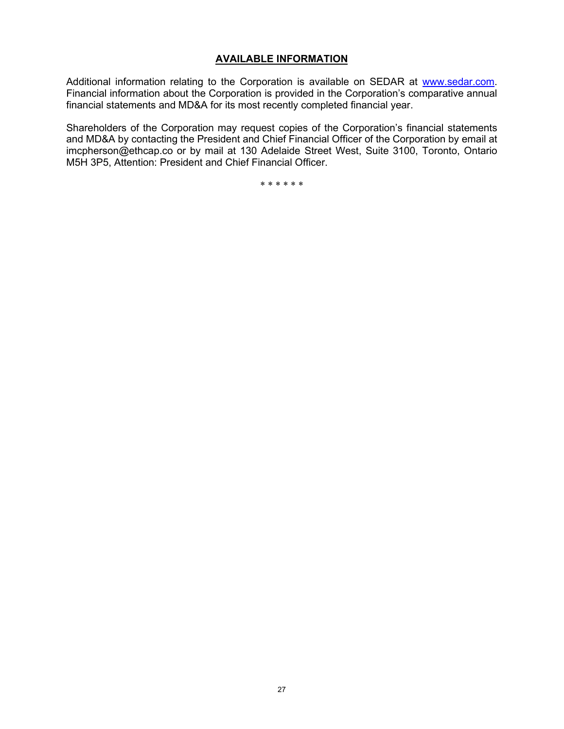#### **AVAILABLE INFORMATION**

Additional information relating to the Corporation is available on SEDAR at [www.sedar.com.](http://www.sedar.com/) Financial information about the Corporation is provided in the Corporation's comparative annual financial statements and MD&A for its most recently completed financial year.

Shareholders of the Corporation may request copies of the Corporation's financial statements and MD&A by contacting the President and Chief Financial Officer of the Corporation by email at imcpherson@ethcap.co or by mail at 130 Adelaide Street West, Suite 3100, Toronto, Ontario M5H 3P5, Attention: President and Chief Financial Officer.

\* \* \* \* \* \*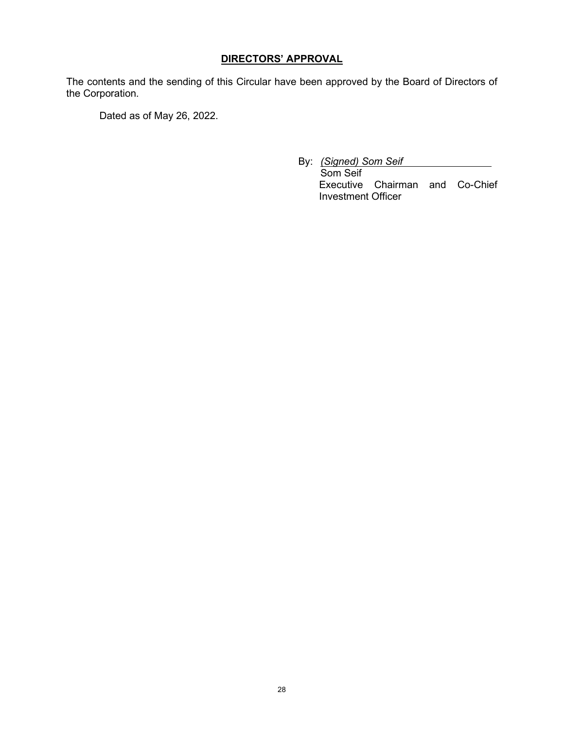# **DIRECTORS' APPROVAL**

The contents and the sending of this Circular have been approved by the Board of Directors of the Corporation.

Dated as of May 26, 2022.

By: *(Signed) Som Seif*

Som Seif Executive Chairman and Co-Chief Investment Officer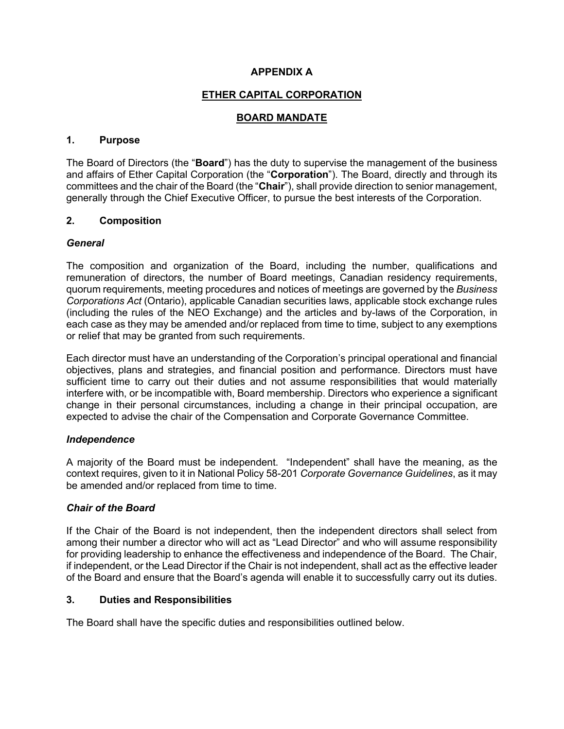# **APPENDIX A**

# **ETHER CAPITAL CORPORATION**

# **BOARD MANDATE**

## **1. Purpose**

The Board of Directors (the "**Board**") has the duty to supervise the management of the business and affairs of Ether Capital Corporation (the "**Corporation**"). The Board, directly and through its committees and the chair of the Board (the "**Chair**"), shall provide direction to senior management, generally through the Chief Executive Officer, to pursue the best interests of the Corporation.

## **2. Composition**

## *General*

The composition and organization of the Board, including the number, qualifications and remuneration of directors, the number of Board meetings, Canadian residency requirements, quorum requirements, meeting procedures and notices of meetings are governed by the *Business Corporations Act* (Ontario), applicable Canadian securities laws, applicable stock exchange rules (including the rules of the NEO Exchange) and the articles and by-laws of the Corporation, in each case as they may be amended and/or replaced from time to time, subject to any exemptions or relief that may be granted from such requirements.

Each director must have an understanding of the Corporation's principal operational and financial objectives, plans and strategies, and financial position and performance. Directors must have sufficient time to carry out their duties and not assume responsibilities that would materially interfere with, or be incompatible with, Board membership. Directors who experience a significant change in their personal circumstances, including a change in their principal occupation, are expected to advise the chair of the Compensation and Corporate Governance Committee.

# *Independence*

A majority of the Board must be independent. "Independent" shall have the meaning, as the context requires, given to it in National Policy 58-201 *Corporate Governance Guidelines*, as it may be amended and/or replaced from time to time.

# *Chair of the Board*

If the Chair of the Board is not independent, then the independent directors shall select from among their number a director who will act as "Lead Director" and who will assume responsibility for providing leadership to enhance the effectiveness and independence of the Board. The Chair, if independent, or the Lead Director if the Chair is not independent, shall act as the effective leader of the Board and ensure that the Board's agenda will enable it to successfully carry out its duties.

#### **3. Duties and Responsibilities**

The Board shall have the specific duties and responsibilities outlined below.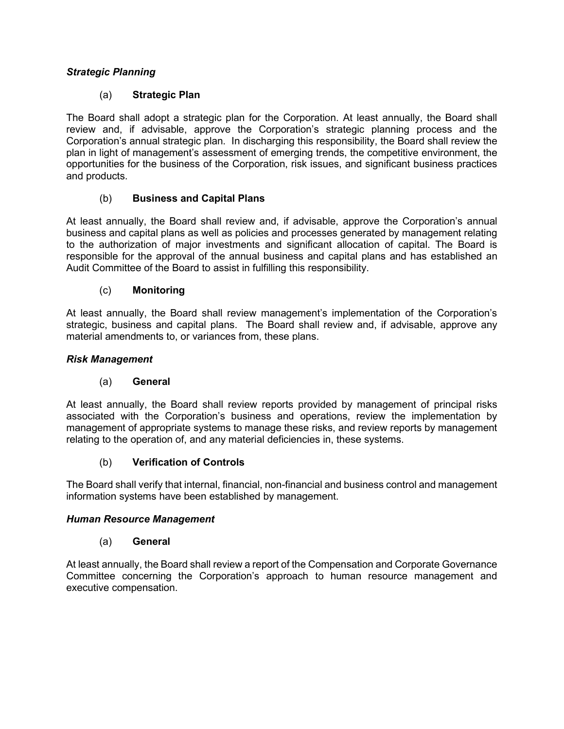# *Strategic Planning*

# (a) **Strategic Plan**

The Board shall adopt a strategic plan for the Corporation. At least annually, the Board shall review and, if advisable, approve the Corporation's strategic planning process and the Corporation's annual strategic plan. In discharging this responsibility, the Board shall review the plan in light of management's assessment of emerging trends, the competitive environment, the opportunities for the business of the Corporation, risk issues, and significant business practices and products.

# (b) **Business and Capital Plans**

At least annually, the Board shall review and, if advisable, approve the Corporation's annual business and capital plans as well as policies and processes generated by management relating to the authorization of major investments and significant allocation of capital. The Board is responsible for the approval of the annual business and capital plans and has established an Audit Committee of the Board to assist in fulfilling this responsibility.

# (c) **Monitoring**

At least annually, the Board shall review management's implementation of the Corporation's strategic, business and capital plans. The Board shall review and, if advisable, approve any material amendments to, or variances from, these plans.

## *Risk Management*

# (a) **General**

At least annually, the Board shall review reports provided by management of principal risks associated with the Corporation's business and operations, review the implementation by management of appropriate systems to manage these risks, and review reports by management relating to the operation of, and any material deficiencies in, these systems.

# (b) **Verification of Controls**

The Board shall verify that internal, financial, non-financial and business control and management information systems have been established by management.

#### *Human Resource Management*

# (a) **General**

At least annually, the Board shall review a report of the Compensation and Corporate Governance Committee concerning the Corporation's approach to human resource management and executive compensation.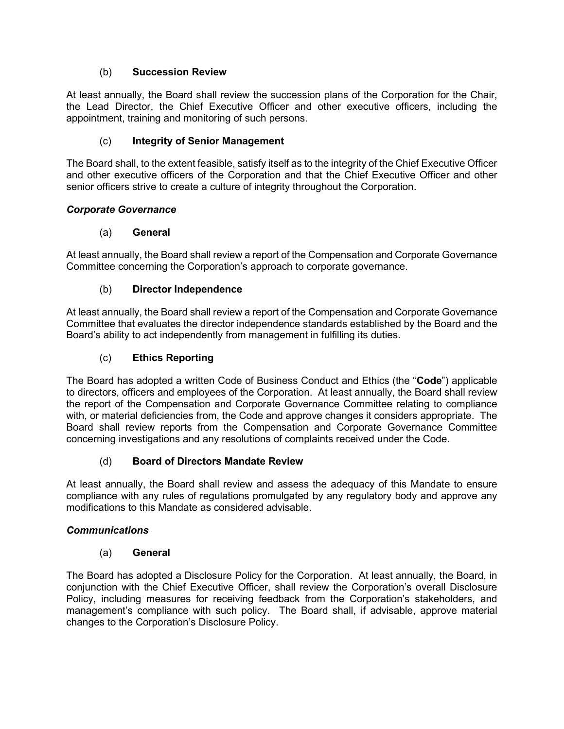# (b) **Succession Review**

At least annually, the Board shall review the succession plans of the Corporation for the Chair, the Lead Director, the Chief Executive Officer and other executive officers, including the appointment, training and monitoring of such persons.

# (c) **Integrity of Senior Management**

The Board shall, to the extent feasible, satisfy itself as to the integrity of the Chief Executive Officer and other executive officers of the Corporation and that the Chief Executive Officer and other senior officers strive to create a culture of integrity throughout the Corporation.

# *Corporate Governance*

# (a) **General**

At least annually, the Board shall review a report of the Compensation and Corporate Governance Committee concerning the Corporation's approach to corporate governance.

# (b) **Director Independence**

At least annually, the Board shall review a report of the Compensation and Corporate Governance Committee that evaluates the director independence standards established by the Board and the Board's ability to act independently from management in fulfilling its duties.

# (c) **Ethics Reporting**

The Board has adopted a written Code of Business Conduct and Ethics (the "**Code**") applicable to directors, officers and employees of the Corporation. At least annually, the Board shall review the report of the Compensation and Corporate Governance Committee relating to compliance with, or material deficiencies from, the Code and approve changes it considers appropriate. The Board shall review reports from the Compensation and Corporate Governance Committee concerning investigations and any resolutions of complaints received under the Code.

# (d) **Board of Directors Mandate Review**

At least annually, the Board shall review and assess the adequacy of this Mandate to ensure compliance with any rules of regulations promulgated by any regulatory body and approve any modifications to this Mandate as considered advisable.

# *Communications*

# (a) **General**

The Board has adopted a Disclosure Policy for the Corporation. At least annually, the Board, in conjunction with the Chief Executive Officer, shall review the Corporation's overall Disclosure Policy, including measures for receiving feedback from the Corporation's stakeholders, and management's compliance with such policy. The Board shall, if advisable, approve material changes to the Corporation's Disclosure Policy.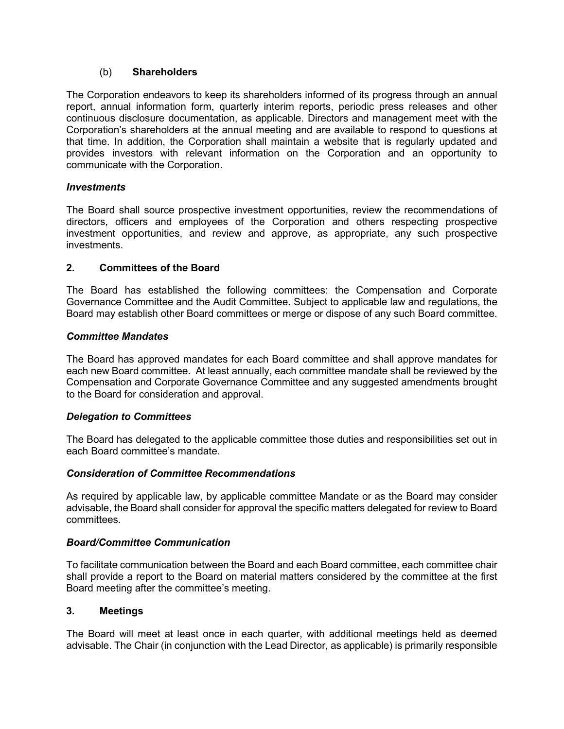## (b) **Shareholders**

The Corporation endeavors to keep its shareholders informed of its progress through an annual report, annual information form, quarterly interim reports, periodic press releases and other continuous disclosure documentation, as applicable. Directors and management meet with the Corporation's shareholders at the annual meeting and are available to respond to questions at that time. In addition, the Corporation shall maintain a website that is regularly updated and provides investors with relevant information on the Corporation and an opportunity to communicate with the Corporation.

## *Investments*

The Board shall source prospective investment opportunities, review the recommendations of directors, officers and employees of the Corporation and others respecting prospective investment opportunities, and review and approve, as appropriate, any such prospective investments.

## **2. Committees of the Board**

The Board has established the following committees: the Compensation and Corporate Governance Committee and the Audit Committee. Subject to applicable law and regulations, the Board may establish other Board committees or merge or dispose of any such Board committee.

## *Committee Mandates*

The Board has approved mandates for each Board committee and shall approve mandates for each new Board committee. At least annually, each committee mandate shall be reviewed by the Compensation and Corporate Governance Committee and any suggested amendments brought to the Board for consideration and approval.

# *Delegation to Committees*

The Board has delegated to the applicable committee those duties and responsibilities set out in each Board committee's mandate.

#### *Consideration of Committee Recommendations*

As required by applicable law, by applicable committee Mandate or as the Board may consider advisable, the Board shall consider for approval the specific matters delegated for review to Board committees.

#### *Board/Committee Communication*

To facilitate communication between the Board and each Board committee, each committee chair shall provide a report to the Board on material matters considered by the committee at the first Board meeting after the committee's meeting.

#### **3. Meetings**

The Board will meet at least once in each quarter, with additional meetings held as deemed advisable. The Chair (in conjunction with the Lead Director, as applicable) is primarily responsible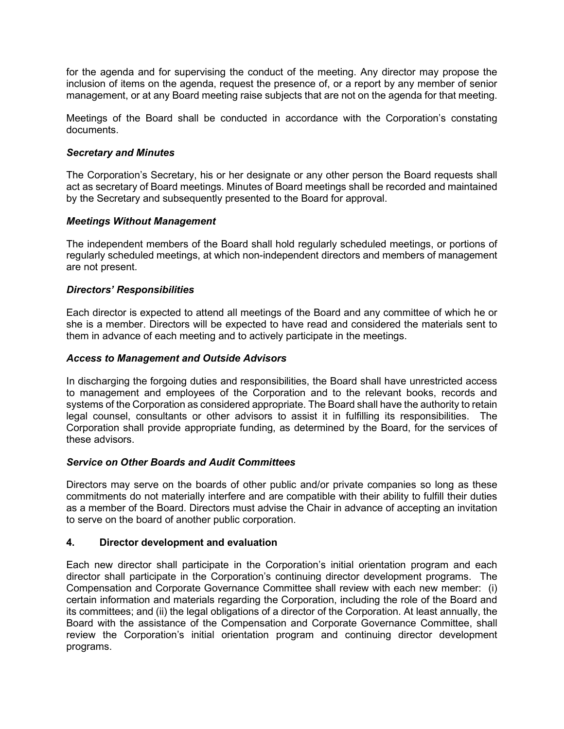for the agenda and for supervising the conduct of the meeting. Any director may propose the inclusion of items on the agenda, request the presence of, or a report by any member of senior management, or at any Board meeting raise subjects that are not on the agenda for that meeting.

Meetings of the Board shall be conducted in accordance with the Corporation's constating documents.

## *Secretary and Minutes*

The Corporation's Secretary, his or her designate or any other person the Board requests shall act as secretary of Board meetings. Minutes of Board meetings shall be recorded and maintained by the Secretary and subsequently presented to the Board for approval.

## *Meetings Without Management*

The independent members of the Board shall hold regularly scheduled meetings, or portions of regularly scheduled meetings, at which non-independent directors and members of management are not present.

## *Directors' Responsibilities*

Each director is expected to attend all meetings of the Board and any committee of which he or she is a member. Directors will be expected to have read and considered the materials sent to them in advance of each meeting and to actively participate in the meetings.

## *Access to Management and Outside Advisors*

In discharging the forgoing duties and responsibilities, the Board shall have unrestricted access to management and employees of the Corporation and to the relevant books, records and systems of the Corporation as considered appropriate. The Board shall have the authority to retain legal counsel, consultants or other advisors to assist it in fulfilling its responsibilities. The Corporation shall provide appropriate funding, as determined by the Board, for the services of these advisors.

#### *Service on Other Boards and Audit Committees*

Directors may serve on the boards of other public and/or private companies so long as these commitments do not materially interfere and are compatible with their ability to fulfill their duties as a member of the Board. Directors must advise the Chair in advance of accepting an invitation to serve on the board of another public corporation.

# **4. Director development and evaluation**

Each new director shall participate in the Corporation's initial orientation program and each director shall participate in the Corporation's continuing director development programs. The Compensation and Corporate Governance Committee shall review with each new member: (i) certain information and materials regarding the Corporation, including the role of the Board and its committees; and (ii) the legal obligations of a director of the Corporation. At least annually, the Board with the assistance of the Compensation and Corporate Governance Committee, shall review the Corporation's initial orientation program and continuing director development programs.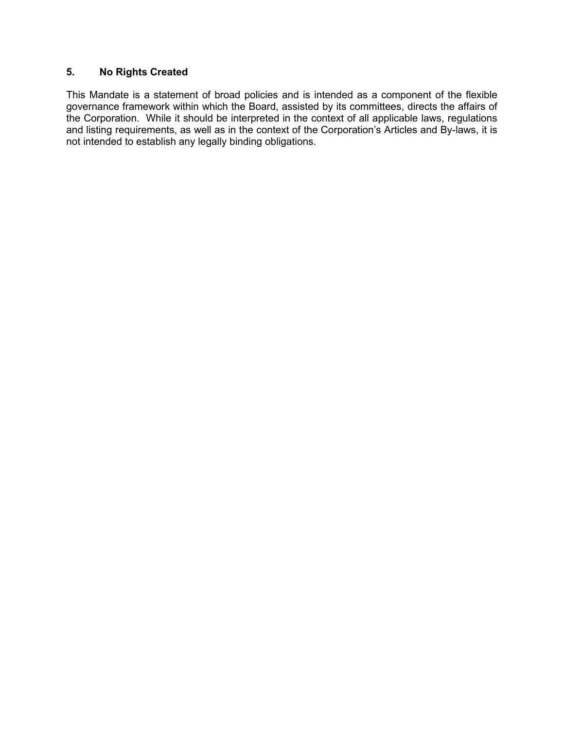# **5. No Rights Created**

This Mandate is a statement of broad policies and is intended as a component of the flexible governance framework within which the Board, assisted by its committees, directs the affairs of the Corporation. While it should be interpreted in the context of all applicable laws, regulations and listing requirements, as well as in the context of the Corporation's Articles and By-laws, it is not intended to establish any legally binding obligations.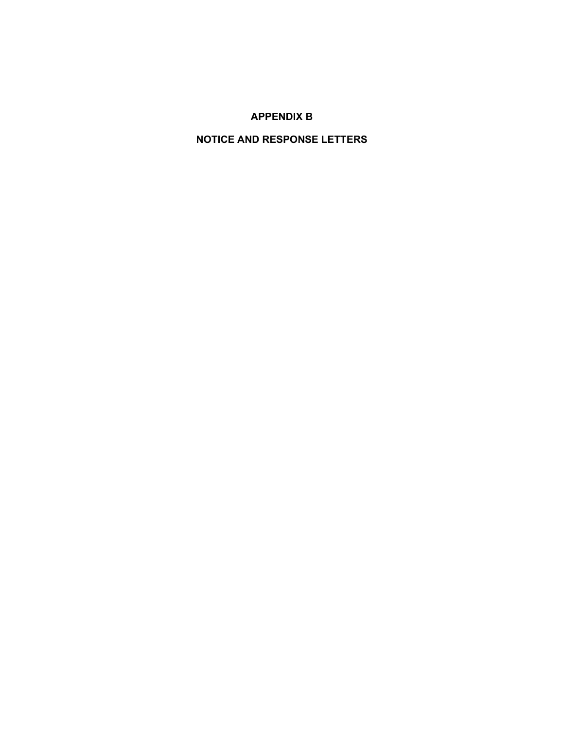# **APPENDIX B**

# **NOTICE AND RESPONSE LETTERS**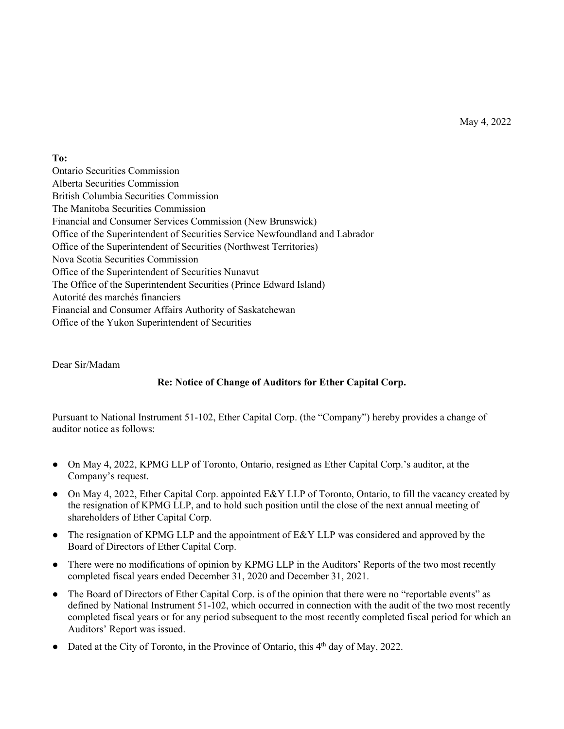May 4, 2022

**To:** 

Ontario Securities Commission Alberta Securities Commission British Columbia Securities Commission The Manitoba Securities Commission Financial and Consumer Services Commission (New Brunswick) Office of the Superintendent of Securities Service Newfoundland and Labrador Office of the Superintendent of Securities (Northwest Territories) Nova Scotia Securities Commission Office of the Superintendent of Securities Nunavut The Office of the Superintendent Securities (Prince Edward Island) Autorité des marchés financiers Financial and Consumer Affairs Authority of Saskatchewan Office of the Yukon Superintendent of Securities

Dear Sir/Madam

# **Re: Notice of Change of Auditors for Ether Capital Corp.**

Pursuant to National Instrument 51-102, Ether Capital Corp. (the "Company") hereby provides a change of auditor notice as follows:

- On May 4, 2022, KPMG LLP of Toronto, Ontario, resigned as Ether Capital Corp.'s auditor, at the Company's request.
- On May 4, 2022, Ether Capital Corp. appointed E&Y LLP of Toronto, Ontario, to fill the vacancy created by the resignation of KPMG LLP, and to hold such position until the close of the next annual meeting of shareholders of Ether Capital Corp.
- The resignation of KPMG LLP and the appointment of E&Y LLP was considered and approved by the Board of Directors of Ether Capital Corp.
- There were no modifications of opinion by KPMG LLP in the Auditors' Reports of the two most recently completed fiscal years ended December 31, 2020 and December 31, 2021.
- The Board of Directors of Ether Capital Corp. is of the opinion that there were no "reportable events" as defined by National Instrument 51-102, which occurred in connection with the audit of the two most recently completed fiscal years or for any period subsequent to the most recently completed fiscal period for which an Auditors' Report was issued.
- Dated at the City of Toronto, in the Province of Ontario, this 4<sup>th</sup> day of May, 2022.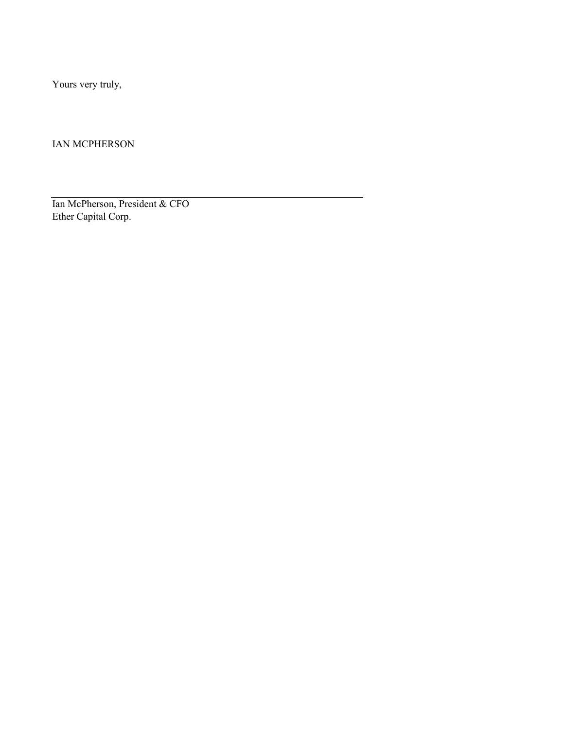Yours very truly,

IAN MCPHERSON

Ian McPherson, President & CFO Ether Capital Corp.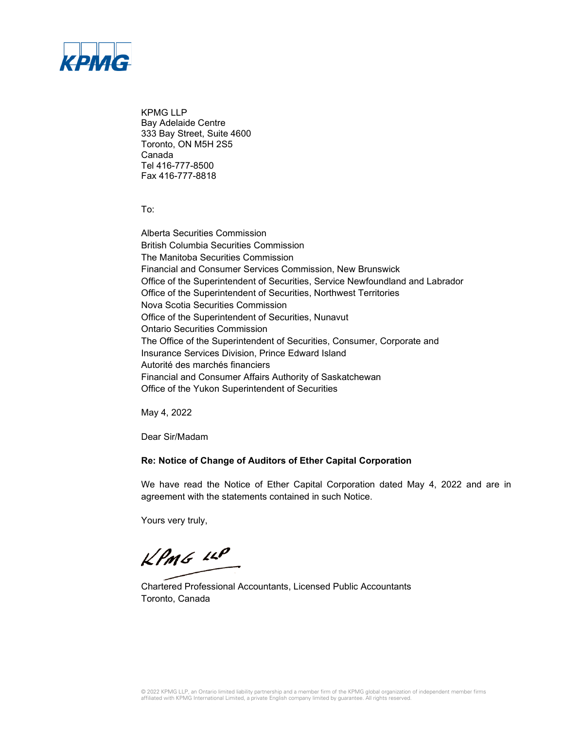

KPMG LLP Bay Adelaide Centre 333 Bay Street, Suite 4600 Toronto, ON M5H 2S5 Canada Tel 416-777-8500 Fax 416-777-8818

To:

Alberta Securities Commission British Columbia Securities Commission The Manitoba Securities Commission Financial and Consumer Services Commission, New Brunswick Office of the Superintendent of Securities, Service Newfoundland and Labrador Office of the Superintendent of Securities, Northwest Territories Nova Scotia Securities Commission Office of the Superintendent of Securities, Nunavut Ontario Securities Commission The Office of the Superintendent of Securities, Consumer, Corporate and Insurance Services Division, Prince Edward Island Autorité des marchés financiers Financial and Consumer Affairs Authority of Saskatchewan Office of the Yukon Superintendent of Securities

May 4, 2022

Dear Sir/Madam

#### **Re: Notice of Change of Auditors of Ether Capital Corporation**

We have read the Notice of Ether Capital Corporation dated May 4, 2022 and are in agreement with the statements contained in such Notice.

Yours very truly,

 $k$ *PmG LLP* 

Chartered Professional Accountants, Licensed Public Accountants Toronto, Canada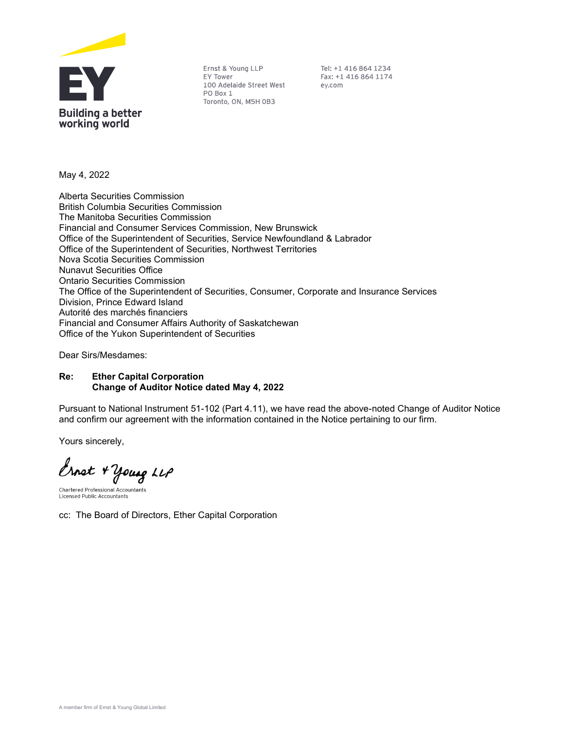

Ernst & Young LLP EY Tower 100 Adelaide Street West PO Box 1 Toronto, ON, M5H 0B3

Tel: +1 416 864 1234 Fax: +1 416 864 1174 ey.com

May 4, 2022

Alberta Securities Commission British Columbia Securities Commission The Manitoba Securities Commission Financial and Consumer Services Commission, New Brunswick Office of the Superintendent of Securities, Service Newfoundland & Labrador Office of the Superintendent of Securities, Northwest Territories Nova Scotia Securities Commission Nunavut Securities Office Ontario Securities Commission The Office of the Superintendent of Securities, Consumer, Corporate and Insurance Services Division, Prince Edward Island Autorité des marchés financiers Financial and Consumer Affairs Authority of Saskatchewan Office of the Yukon Superintendent of Securities

Dear Sirs/Mesdames:

#### Re: Ether Capital Corporation Change of Auditor Notice dated May 4, 2022

Pursuant to National Instrument 51-102 (Part 4.11), we have read the above-noted Change of Auditor Notice and confirm our agreement with the information contained in the Notice pertaining to our firm.

Yours sincerely,

Ernst + Young LLP

**Chartered Professional Accountants Licensed Public Accountants** 

cc: The Board of Directors, Ether Capital Corporation